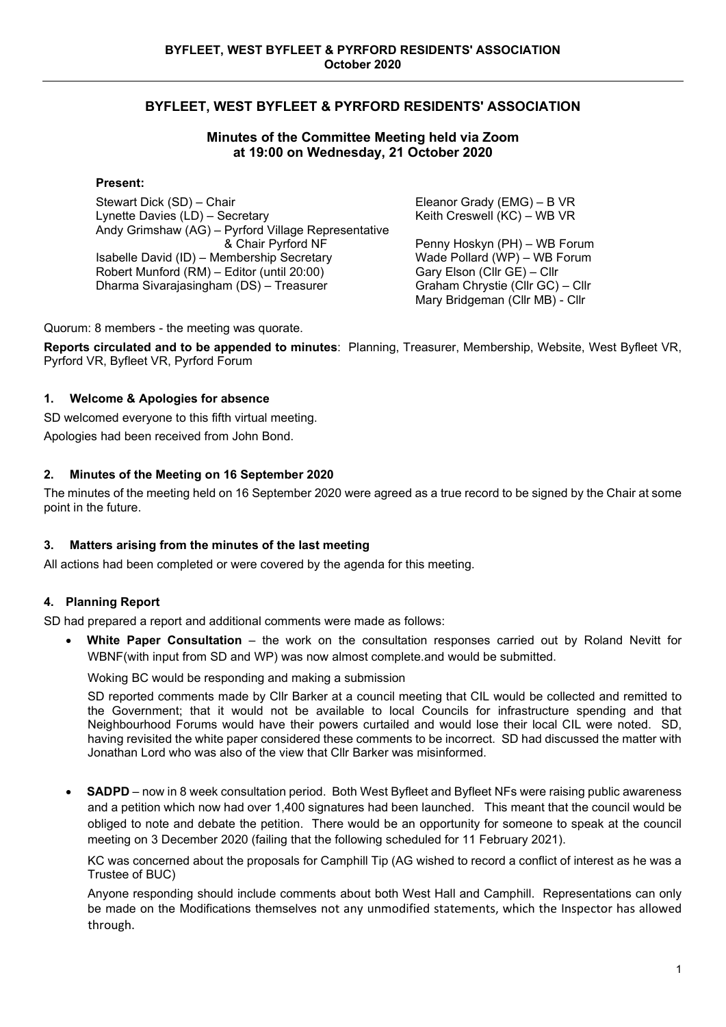# **BYFLEET, WEST BYFLEET & PYRFORD RESIDENTS' ASSOCIATION**

### **Minutes of the Committee Meeting held via Zoom at 19:00 on Wednesday, 21 October 2020**

### **Present:**

Stewart Dick (SD) – Chair Lynette Davies (LD) – Secretary Andy Grimshaw (AG) – Pyrford Village Representative & Chair Pyrford NF Isabelle David (ID) – Membership Secretary Robert Munford (RM) – Editor (until 20:00) Dharma Sivarajasingham (DS) – Treasurer

Eleanor Grady (EMG) – B VR Keith Creswell (KC) – WB VR

Penny Hoskyn (PH) – WB Forum Wade Pollard (WP) – WB Forum Gary Elson (Cllr GE) – Cllr Graham Chrystie (Cllr GC) – Cllr Mary Bridgeman (Cllr MB) - Cllr

Quorum: 8 members - the meeting was quorate.

**Reports circulated and to be appended to minutes**: Planning, Treasurer, Membership, Website, West Byfleet VR, Pyrford VR, Byfleet VR, Pyrford Forum

### **1. Welcome & Apologies for absence**

SD welcomed everyone to this fifth virtual meeting.

Apologies had been received from John Bond.

### **2. Minutes of the Meeting on 16 September 2020**

The minutes of the meeting held on 16 September 2020 were agreed as a true record to be signed by the Chair at some point in the future.

### **3. Matters arising from the minutes of the last meeting**

All actions had been completed or were covered by the agenda for this meeting.

### **4. Planning Report**

SD had prepared a report and additional comments were made as follows:

• **White Paper Consultation** – the work on the consultation responses carried out by Roland Nevitt for WBNF(with input from SD and WP) was now almost complete.and would be submitted.

Woking BC would be responding and making a submission

SD reported comments made by Cllr Barker at a council meeting that CIL would be collected and remitted to the Government; that it would not be available to local Councils for infrastructure spending and that Neighbourhood Forums would have their powers curtailed and would lose their local CIL were noted. SD, having revisited the white paper considered these comments to be incorrect. SD had discussed the matter with Jonathan Lord who was also of the view that Cllr Barker was misinformed.

• **SADPD** – now in 8 week consultation period. Both West Byfleet and Byfleet NFs were raising public awareness and a petition which now had over 1,400 signatures had been launched. This meant that the council would be obliged to note and debate the petition. There would be an opportunity for someone to speak at the council meeting on 3 December 2020 (failing that the following scheduled for 11 February 2021).

KC was concerned about the proposals for Camphill Tip (AG wished to record a conflict of interest as he was a Trustee of BUC)

Anyone responding should include comments about both West Hall and Camphill. Representations can only be made on the Modifications themselves not any unmodified statements, which the Inspector has allowed through.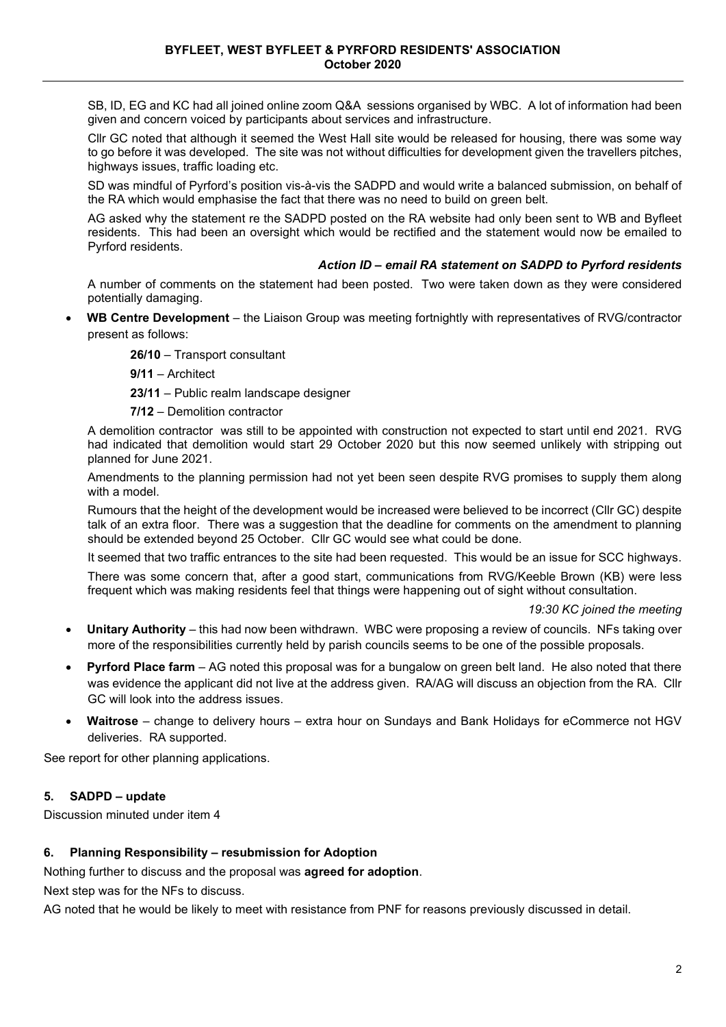SB, ID, EG and KC had all joined online zoom Q&A sessions organised by WBC. A lot of information had been given and concern voiced by participants about services and infrastructure.

Cllr GC noted that although it seemed the West Hall site would be released for housing, there was some way to go before it was developed. The site was not without difficulties for development given the travellers pitches, highways issues, traffic loading etc.

SD was mindful of Pyrford's position vis-à-vis the SADPD and would write a balanced submission, on behalf of the RA which would emphasise the fact that there was no need to build on green belt.

AG asked why the statement re the SADPD posted on the RA website had only been sent to WB and Byfleet residents. This had been an oversight which would be rectified and the statement would now be emailed to Pyrford residents.

### *Action ID – email RA statement on SADPD to Pyrford residents*

A number of comments on the statement had been posted. Two were taken down as they were considered potentially damaging.

• **WB Centre Development** – the Liaison Group was meeting fortnightly with representatives of RVG/contractor present as follows:

**26/10** – Transport consultant

**9/11** – Architect

**23/11** – Public realm landscape designer

**7/12** – Demolition contractor

A demolition contractor was still to be appointed with construction not expected to start until end 2021. RVG had indicated that demolition would start 29 October 2020 but this now seemed unlikely with stripping out planned for June 2021.

Amendments to the planning permission had not yet been seen despite RVG promises to supply them along with a model.

Rumours that the height of the development would be increased were believed to be incorrect (Cllr GC) despite talk of an extra floor. There was a suggestion that the deadline for comments on the amendment to planning should be extended beyond 25 October. Cllr GC would see what could be done.

It seemed that two traffic entrances to the site had been requested. This would be an issue for SCC highways.

There was some concern that, after a good start, communications from RVG/Keeble Brown (KB) were less frequent which was making residents feel that things were happening out of sight without consultation.

### *19:30 KC joined the meeting*

- **Unitary Authority**  this had now been withdrawn. WBC were proposing a review of councils. NFs taking over more of the responsibilities currently held by parish councils seems to be one of the possible proposals.
- **Pyrford Place farm**  AG noted this proposal was for a bungalow on green belt land. He also noted that there was evidence the applicant did not live at the address given. RA/AG will discuss an objection from the RA. Cllr GC will look into the address issues.
- **Waitrose**  change to delivery hours extra hour on Sundays and Bank Holidays for eCommerce not HGV deliveries. RA supported.

See report for other planning applications.

### **5. SADPD – update**

Discussion minuted under item 4

### **6. Planning Responsibility – resubmission for Adoption**

Nothing further to discuss and the proposal was **agreed for adoption**.

Next step was for the NFs to discuss.

AG noted that he would be likely to meet with resistance from PNF for reasons previously discussed in detail.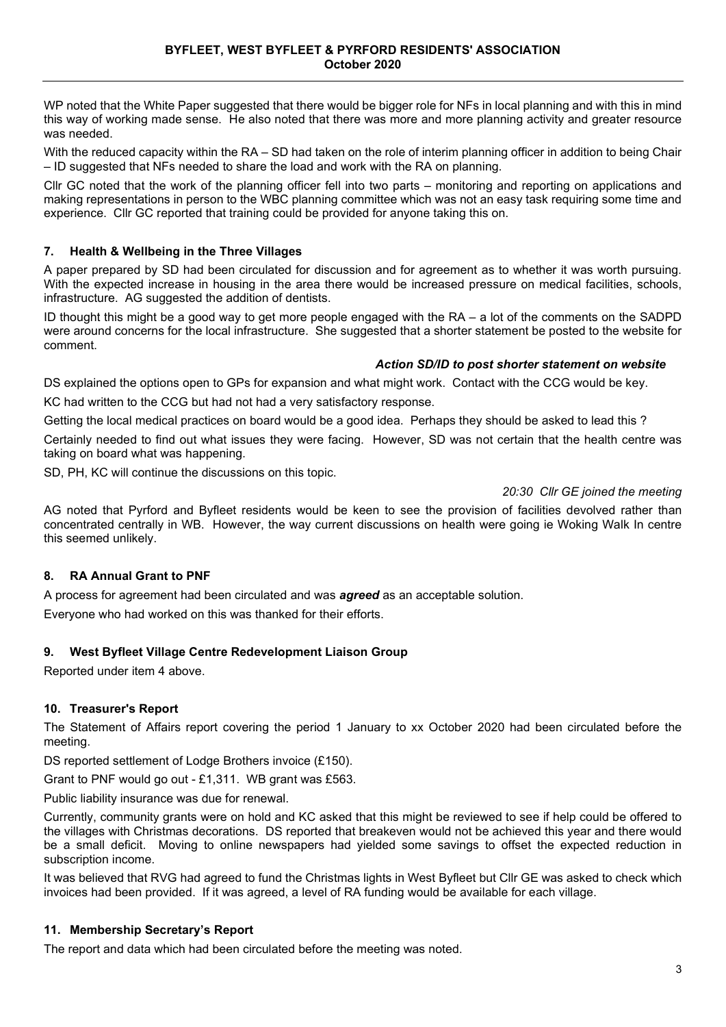WP noted that the White Paper suggested that there would be bigger role for NFs in local planning and with this in mind this way of working made sense. He also noted that there was more and more planning activity and greater resource was needed.

With the reduced capacity within the RA – SD had taken on the role of interim planning officer in addition to being Chair – ID suggested that NFs needed to share the load and work with the RA on planning.

Cllr GC noted that the work of the planning officer fell into two parts – monitoring and reporting on applications and making representations in person to the WBC planning committee which was not an easy task requiring some time and experience. Cllr GC reported that training could be provided for anyone taking this on.

### **7. Health & Wellbeing in the Three Villages**

A paper prepared by SD had been circulated for discussion and for agreement as to whether it was worth pursuing. With the expected increase in housing in the area there would be increased pressure on medical facilities, schools, infrastructure. AG suggested the addition of dentists.

ID thought this might be a good way to get more people engaged with the RA – a lot of the comments on the SADPD were around concerns for the local infrastructure. She suggested that a shorter statement be posted to the website for comment.

### *Action SD/ID to post shorter statement on website*

DS explained the options open to GPs for expansion and what might work. Contact with the CCG would be key.

KC had written to the CCG but had not had a very satisfactory response.

Getting the local medical practices on board would be a good idea. Perhaps they should be asked to lead this ?

Certainly needed to find out what issues they were facing. However, SD was not certain that the health centre was taking on board what was happening.

SD, PH, KC will continue the discussions on this topic.

### *20:30 Cllr GE joined the meeting*

AG noted that Pyrford and Byfleet residents would be keen to see the provision of facilities devolved rather than concentrated centrally in WB. However, the way current discussions on health were going ie Woking Walk In centre this seemed unlikely.

### **8. RA Annual Grant to PNF**

A process for agreement had been circulated and was *agreed* as an acceptable solution. Everyone who had worked on this was thanked for their efforts.

### **9. West Byfleet Village Centre Redevelopment Liaison Group**

Reported under item 4 above.

### **10. Treasurer's Report**

The Statement of Affairs report covering the period 1 January to xx October 2020 had been circulated before the meeting.

DS reported settlement of Lodge Brothers invoice (£150).

Grant to PNF would go out - £1,311. WB grant was £563.

Public liability insurance was due for renewal.

Currently, community grants were on hold and KC asked that this might be reviewed to see if help could be offered to the villages with Christmas decorations. DS reported that breakeven would not be achieved this year and there would be a small deficit. Moving to online newspapers had yielded some savings to offset the expected reduction in subscription income.

It was believed that RVG had agreed to fund the Christmas lights in West Byfleet but Cllr GE was asked to check which invoices had been provided. If it was agreed, a level of RA funding would be available for each village.

### **11. Membership Secretary's Report**

The report and data which had been circulated before the meeting was noted.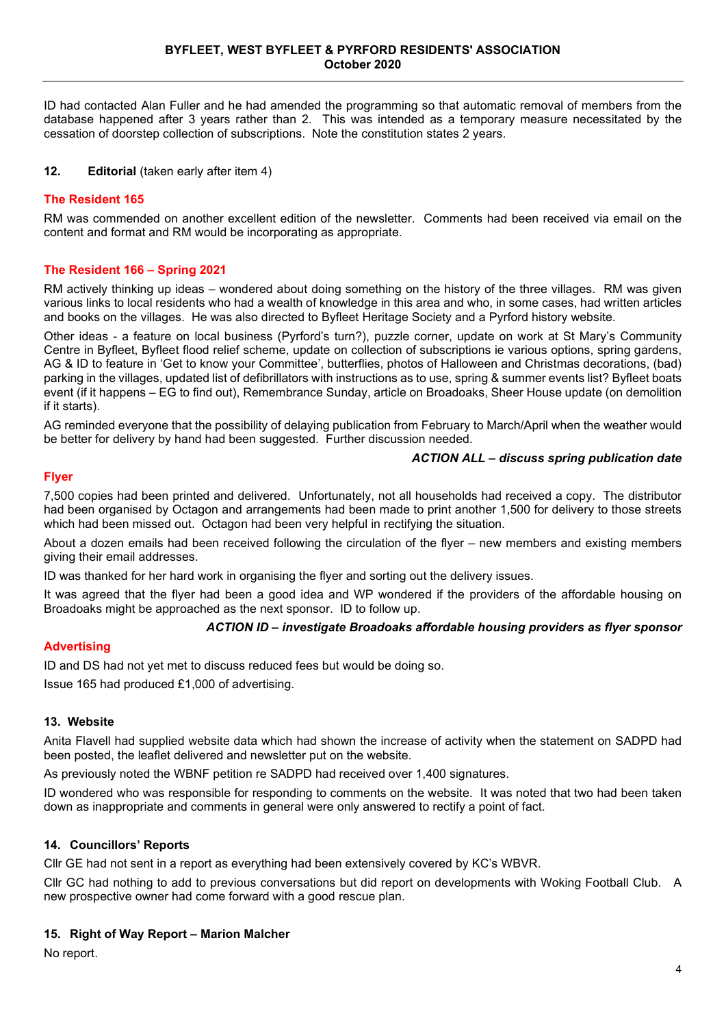ID had contacted Alan Fuller and he had amended the programming so that automatic removal of members from the database happened after 3 years rather than 2. This was intended as a temporary measure necessitated by the cessation of doorstep collection of subscriptions. Note the constitution states 2 years.

### **12. Editorial** (taken early after item 4)

### **The Resident 165**

RM was commended on another excellent edition of the newsletter. Comments had been received via email on the content and format and RM would be incorporating as appropriate.

### **The Resident 166 – Spring 2021**

RM actively thinking up ideas – wondered about doing something on the history of the three villages. RM was given various links to local residents who had a wealth of knowledge in this area and who, in some cases, had written articles and books on the villages. He was also directed to Byfleet Heritage Society and a Pyrford history website.

Other ideas - a feature on local business (Pyrford's turn?), puzzle corner, update on work at St Mary's Community Centre in Byfleet, Byfleet flood relief scheme, update on collection of subscriptions ie various options, spring gardens, AG & ID to feature in 'Get to know your Committee', butterflies, photos of Halloween and Christmas decorations, (bad) parking in the villages, updated list of defibrillators with instructions as to use, spring & summer events list? Byfleet boats event (if it happens – EG to find out), Remembrance Sunday, article on Broadoaks, Sheer House update (on demolition if it starts).

AG reminded everyone that the possibility of delaying publication from February to March/April when the weather would be better for delivery by hand had been suggested. Further discussion needed.

### *ACTION ALL – discuss spring publication date*

### **Flyer**

7,500 copies had been printed and delivered. Unfortunately, not all households had received a copy. The distributor had been organised by Octagon and arrangements had been made to print another 1,500 for delivery to those streets which had been missed out. Octagon had been very helpful in rectifying the situation.

About a dozen emails had been received following the circulation of the flyer – new members and existing members giving their email addresses.

ID was thanked for her hard work in organising the flyer and sorting out the delivery issues.

It was agreed that the flyer had been a good idea and WP wondered if the providers of the affordable housing on Broadoaks might be approached as the next sponsor. ID to follow up.

### *ACTION ID – investigate Broadoaks affordable housing providers as flyer sponsor*

### **Advertising**

ID and DS had not yet met to discuss reduced fees but would be doing so.

Issue 165 had produced £1,000 of advertising.

### **13. Website**

Anita Flavell had supplied website data which had shown the increase of activity when the statement on SADPD had been posted, the leaflet delivered and newsletter put on the website.

As previously noted the WBNF petition re SADPD had received over 1,400 signatures.

ID wondered who was responsible for responding to comments on the website. It was noted that two had been taken down as inappropriate and comments in general were only answered to rectify a point of fact.

### **14. Councillors' Reports**

Cllr GE had not sent in a report as everything had been extensively covered by KC's WBVR.

Cllr GC had nothing to add to previous conversations but did report on developments with Woking Football Club. A new prospective owner had come forward with a good rescue plan.

### **15. Right of Way Report – Marion Malcher**

No report.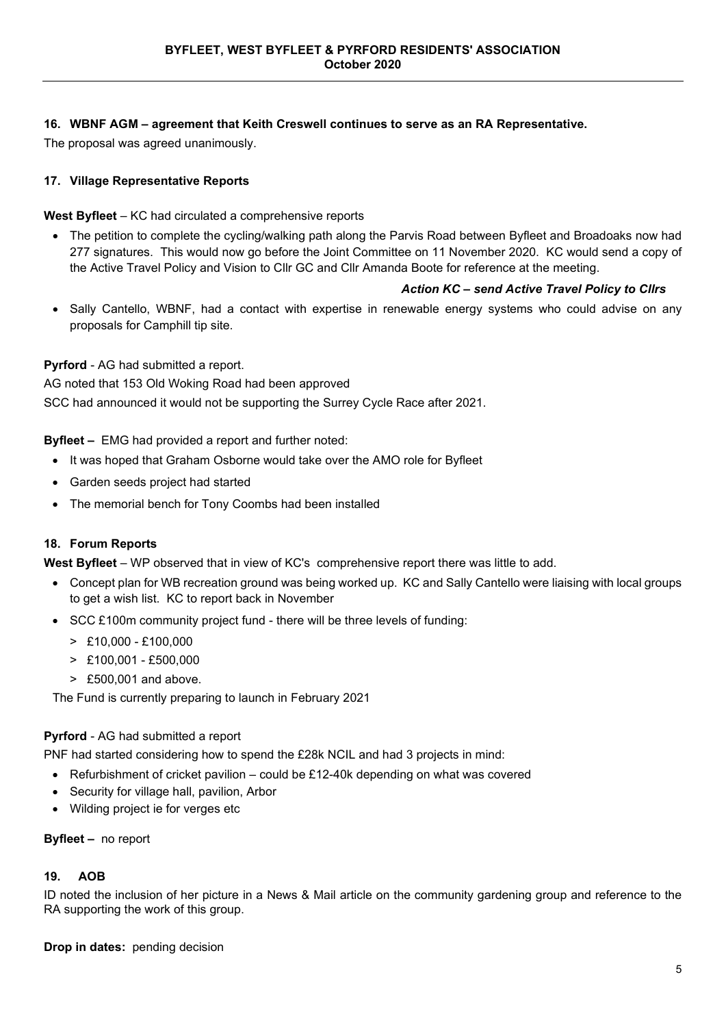### **16. WBNF AGM – agreement that Keith Creswell continues to serve as an RA Representative.**

The proposal was agreed unanimously.

### **17. Village Representative Reports**

**West Byfleet** – KC had circulated a comprehensive reports

• The petition to complete the cycling/walking path along the Parvis Road between Byfleet and Broadoaks now had 277 signatures. This would now go before the Joint Committee on 11 November 2020. KC would send a copy of the Active Travel Policy and Vision to Cllr GC and Cllr Amanda Boote for reference at the meeting.

### *Action KC – send Active Travel Policy to Cllrs*

• Sally Cantello, WBNF, had a contact with expertise in renewable energy systems who could advise on any proposals for Camphill tip site.

**Pyrford** - AG had submitted a report.

AG noted that 153 Old Woking Road had been approved

SCC had announced it would not be supporting the Surrey Cycle Race after 2021.

**Byfleet –** EMG had provided a report and further noted:

- It was hoped that Graham Osborne would take over the AMO role for Byfleet
- Garden seeds project had started
- The memorial bench for Tony Coombs had been installed

### **18. Forum Reports**

**West Byfleet** – WP observed that in view of KC's comprehensive report there was little to add.

- Concept plan for WB recreation ground was being worked up. KC and Sally Cantello were liaising with local groups to get a wish list. KC to report back in November
- SCC £100m community project fund there will be three levels of funding:
	- > £10,000 £100,000
	- $\geq$  £100,001 £500,000
	- > £500,001 and above.

The Fund is currently preparing to launch in February 2021

### **Pyrford** - AG had submitted a report

PNF had started considering how to spend the £28k NCIL and had 3 projects in mind:

- Refurbishment of cricket pavilion could be £12-40k depending on what was covered
- Security for village hall, pavilion, Arbor
- Wilding project ie for verges etc

### **Byfleet –** no report

### **19. AOB**

ID noted the inclusion of her picture in a News & Mail article on the community gardening group and reference to the RA supporting the work of this group.

**Drop in dates:** pending decision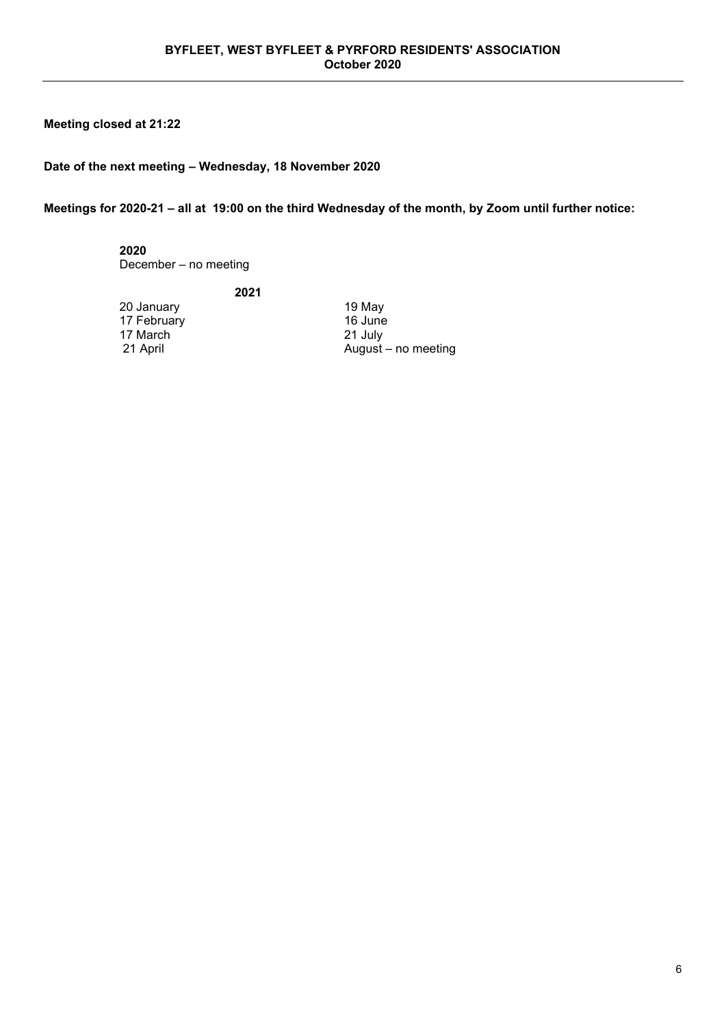### **Meeting closed at 21:22**

### **Date of the next meeting – Wednesday, 18 November 2020**

**2021**

**Meetings for 2020-21 – all at 19:00 on the third Wednesday of the month, by Zoom until further notice:**

**2020** December – no meeting

20 January 19 May 17 February 16 June<br>17 March 16 June 17 March 21 July 17 March<br>21 April

August – no meeting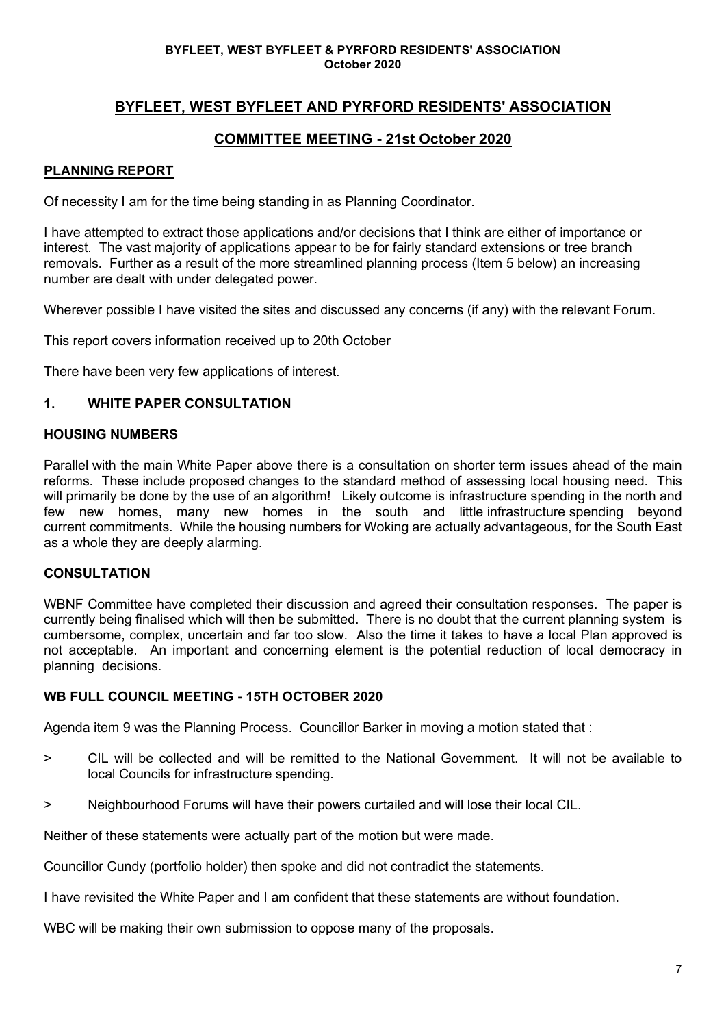# **BYFLEET, WEST BYFLEET AND PYRFORD RESIDENTS' ASSOCIATION**

# **COMMITTEE MEETING - 21st October 2020**

# **PLANNING REPORT**

Of necessity I am for the time being standing in as Planning Coordinator.

I have attempted to extract those applications and/or decisions that I think are either of importance or interest. The vast majority of applications appear to be for fairly standard extensions or tree branch removals. Further as a result of the more streamlined planning process (Item 5 below) an increasing number are dealt with under delegated power.

Wherever possible I have visited the sites and discussed any concerns (if any) with the relevant Forum.

This report covers information received up to 20th October

There have been very few applications of interest.

# **1. WHITE PAPER CONSULTATION**

### **HOUSING NUMBERS**

Parallel with the main White Paper above there is a consultation on shorter term issues ahead of the main reforms. These include proposed changes to the standard method of assessing local housing need. This will primarily be done by the use of an algorithm! Likely outcome is infrastructure spending in the north and few new homes, many new homes in the south and little infrastructure spending beyond current commitments. While the housing numbers for Woking are actually advantageous, for the South East as a whole they are deeply alarming.

### **CONSULTATION**

WBNF Committee have completed their discussion and agreed their consultation responses. The paper is currently being finalised which will then be submitted. There is no doubt that the current planning system is cumbersome, complex, uncertain and far too slow. Also the time it takes to have a local Plan approved is not acceptable. An important and concerning element is the potential reduction of local democracy in planning decisions.

### **WB FULL COUNCIL MEETING - 15TH OCTOBER 2020**

Agenda item 9 was the Planning Process. Councillor Barker in moving a motion stated that :

- > CIL will be collected and will be remitted to the National Government. It will not be available to local Councils for infrastructure spending.
- > Neighbourhood Forums will have their powers curtailed and will lose their local CIL.

Neither of these statements were actually part of the motion but were made.

Councillor Cundy (portfolio holder) then spoke and did not contradict the statements.

I have revisited the White Paper and I am confident that these statements are without foundation.

WBC will be making their own submission to oppose many of the proposals.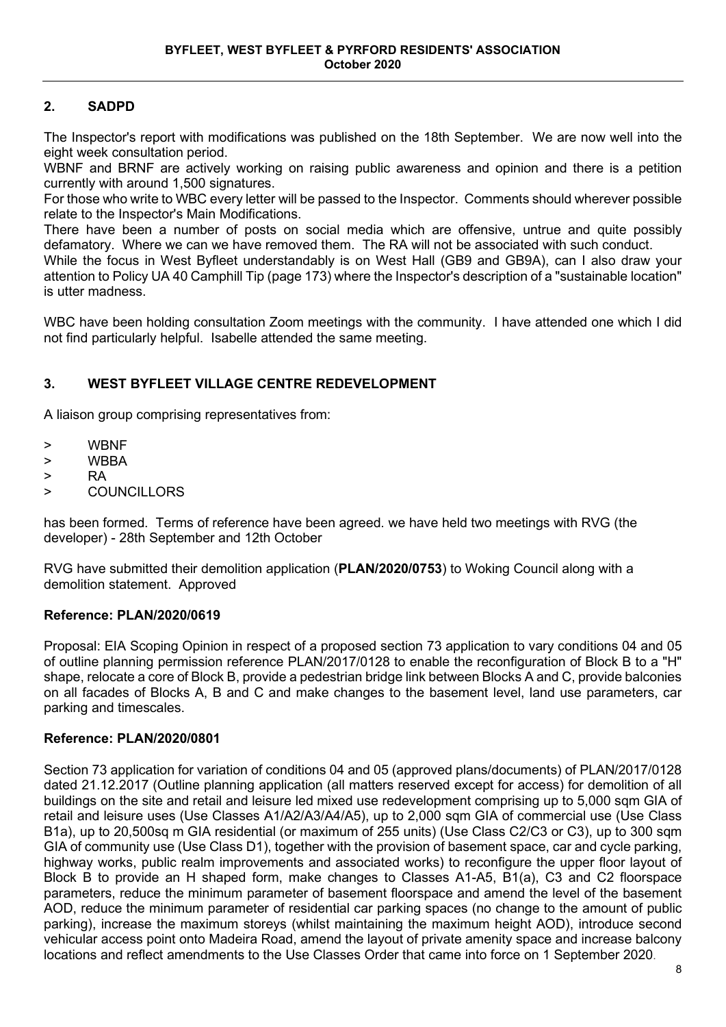# **2. SADPD**

The Inspector's report with modifications was published on the 18th September. We are now well into the eight week consultation period.

WBNF and BRNF are actively working on raising public awareness and opinion and there is a petition currently with around 1,500 signatures.

For those who write to WBC every letter will be passed to the Inspector. Comments should wherever possible relate to the Inspector's Main Modifications.

There have been a number of posts on social media which are offensive, untrue and quite possibly defamatory. Where we can we have removed them. The RA will not be associated with such conduct.

While the focus in West Byfleet understandably is on West Hall (GB9 and GB9A), can I also draw your attention to Policy UA 40 Camphill Tip (page 173) where the Inspector's description of a "sustainable location" is utter madness.

WBC have been holding consultation Zoom meetings with the community. I have attended one which I did not find particularly helpful. Isabelle attended the same meeting.

# **3. WEST BYFLEET VILLAGE CENTRE REDEVELOPMENT**

A liaison group comprising representatives from:

- > WBNF
- > WBBA
- > RA
- > COUNCILLORS

has been formed. Terms of reference have been agreed. we have held two meetings with RVG (the developer) - 28th September and 12th October

RVG have submitted their demolition application (**PLAN/2020/0753**) to Woking Council along with a demolition statement. Approved

### **Reference: PLAN/2020/0619**

Proposal: EIA Scoping Opinion in respect of a proposed section 73 application to vary conditions 04 and 05 of outline planning permission reference PLAN/2017/0128 to enable the reconfiguration of Block B to a "H" shape, relocate a core of Block B, provide a pedestrian bridge link between Blocks A and C, provide balconies on all facades of Blocks A, B and C and make changes to the basement level, land use parameters, car parking and timescales.

### **Reference: PLAN/2020/0801**

Section 73 application for variation of conditions 04 and 05 (approved plans/documents) of PLAN/2017/0128 dated 21.12.2017 (Outline planning application (all matters reserved except for access) for demolition of all buildings on the site and retail and leisure led mixed use redevelopment comprising up to 5,000 sqm GIA of retail and leisure uses (Use Classes A1/A2/A3/A4/A5), up to 2,000 sqm GIA of commercial use (Use Class B1a), up to 20,500sq m GIA residential (or maximum of 255 units) (Use Class C2/C3 or C3), up to 300 sqm GIA of community use (Use Class D1), together with the provision of basement space, car and cycle parking, highway works, public realm improvements and associated works) to reconfigure the upper floor layout of Block B to provide an H shaped form, make changes to Classes A1-A5, B1(a), C3 and C2 floorspace parameters, reduce the minimum parameter of basement floorspace and amend the level of the basement AOD, reduce the minimum parameter of residential car parking spaces (no change to the amount of public parking), increase the maximum storeys (whilst maintaining the maximum height AOD), introduce second vehicular access point onto Madeira Road, amend the layout of private amenity space and increase balcony locations and reflect amendments to the Use Classes Order that came into force on 1 September 2020.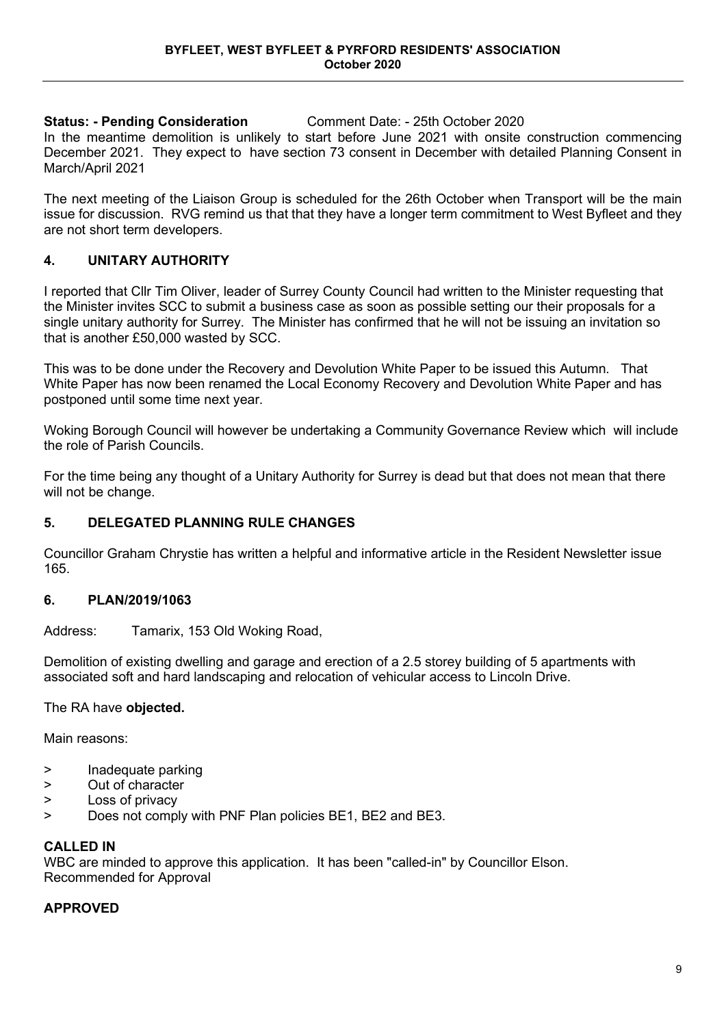**Status: - Pending Consideration** Comment Date: - 25th October 2020

In the meantime demolition is unlikely to start before June 2021 with onsite construction commencing December 2021. They expect to have section 73 consent in December with detailed Planning Consent in March/April 2021

The next meeting of the Liaison Group is scheduled for the 26th October when Transport will be the main issue for discussion. RVG remind us that that they have a longer term commitment to West Byfleet and they are not short term developers.

# **4. UNITARY AUTHORITY**

I reported that Cllr Tim Oliver, leader of Surrey County Council had written to the Minister requesting that the Minister invites SCC to submit a business case as soon as possible setting our their proposals for a single unitary authority for Surrey. The Minister has confirmed that he will not be issuing an invitation so that is another £50,000 wasted by SCC.

This was to be done under the Recovery and Devolution White Paper to be issued this Autumn. That White Paper has now been renamed the Local Economy Recovery and Devolution White Paper and has postponed until some time next year.

Woking Borough Council will however be undertaking a Community Governance Review which will include the role of Parish Councils.

For the time being any thought of a Unitary Authority for Surrey is dead but that does not mean that there will not be change.

# **5. DELEGATED PLANNING RULE CHANGES**

Councillor Graham Chrystie has written a helpful and informative article in the Resident Newsletter issue 165.

# **6. PLAN/2019/1063**

Address: Tamarix, 153 Old Woking Road,

Demolition of existing dwelling and garage and erection of a 2.5 storey building of 5 apartments with associated soft and hard landscaping and relocation of vehicular access to Lincoln Drive.

### The RA have **objected.**

Main reasons:

- > Inadequate parking
- > Out of character
- > Loss of privacy
- > Does not comply with PNF Plan policies BE1, BE2 and BE3.

### **CALLED IN**

WBC are minded to approve this application. It has been "called-in" by Councillor Elson. Recommended for Approval

### **APPROVED**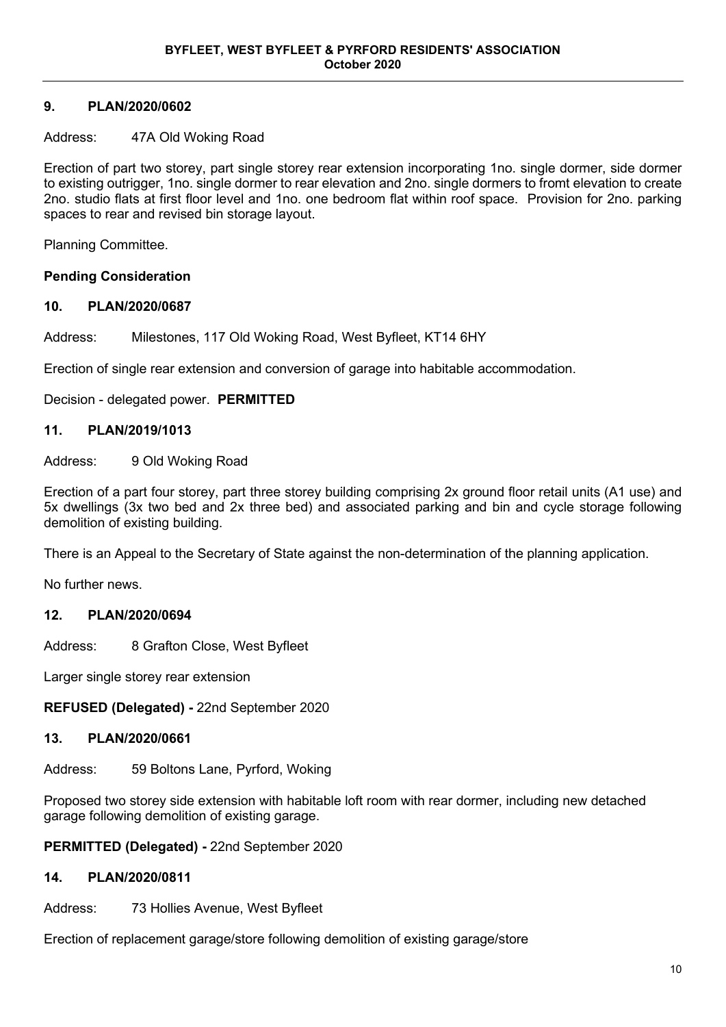# **9. PLAN/2020/0602**

### Address: 47A Old Woking Road

Erection of part two storey, part single storey rear extension incorporating 1no. single dormer, side dormer to existing outrigger, 1no. single dormer to rear elevation and 2no. single dormers to fromt elevation to create 2no. studio flats at first floor level and 1no. one bedroom flat within roof space. Provision for 2no. parking spaces to rear and revised bin storage layout.

Planning Committee.

### **Pending Consideration**

# **10. PLAN/2020/0687**

Address: Milestones, 117 Old Woking Road, West Byfleet, KT14 6HY

Erection of single rear extension and conversion of garage into habitable accommodation.

Decision - delegated power. **PERMITTED**

### **11. PLAN/2019/1013**

Address: 9 Old Woking Road

Erection of a part four storey, part three storey building comprising 2x ground floor retail units (A1 use) and 5x dwellings (3x two bed and 2x three bed) and associated parking and bin and cycle storage following demolition of existing building.

There is an Appeal to the Secretary of State against the non-determination of the planning application.

No further news.

### **12. PLAN/2020/0694**

Address: 8 Grafton Close, West Byfleet

Larger single storey rear extension

**REFUSED (Delegated) -** 22nd September 2020

### **13. PLAN/2020/0661**

Address: 59 Boltons Lane, Pyrford, Woking

Proposed two storey side extension with habitable loft room with rear dormer, including new detached garage following demolition of existing garage.

**PERMITTED (Delegated) -** 22nd September 2020

### **14. PLAN/2020/0811**

Address: 73 Hollies Avenue, West Byfleet

Erection of replacement garage/store following demolition of existing garage/store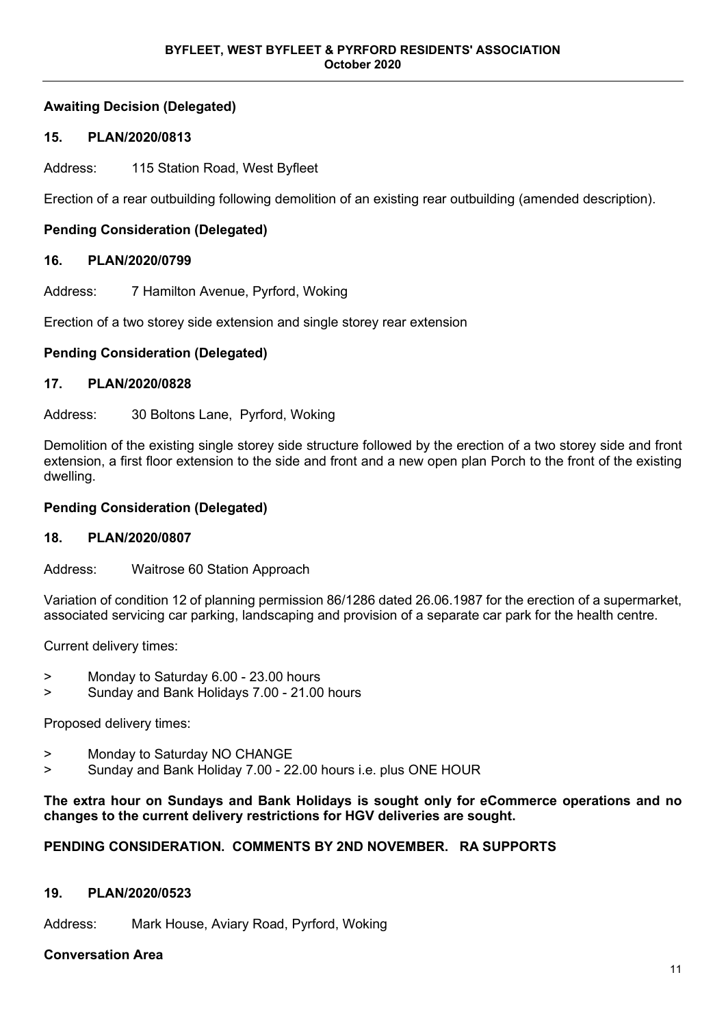# **Awaiting Decision (Delegated)**

# **15. PLAN/2020/0813**

Address: 115 Station Road, West Byfleet

Erection of a rear outbuilding following demolition of an existing rear outbuilding (amended description).

# **Pending Consideration (Delegated)**

### **16. PLAN/2020/0799**

Address: 7 Hamilton Avenue, Pyrford, Woking

Erection of a two storey side extension and single storey rear extension

### **Pending Consideration (Delegated)**

### **17. PLAN/2020/0828**

Address: 30 Boltons Lane, Pyrford, Woking

Demolition of the existing single storey side structure followed by the erection of a two storey side and front extension, a first floor extension to the side and front and a new open plan Porch to the front of the existing dwelling.

### **Pending Consideration (Delegated)**

### **18. PLAN/2020/0807**

Address: Waitrose 60 Station Approach

Variation of condition 12 of planning permission 86/1286 dated 26.06.1987 for the erection of a supermarket, associated servicing car parking, landscaping and provision of a separate car park for the health centre.

Current delivery times:

- > Monday to Saturday 6.00 23.00 hours
- > Sunday and Bank Holidays 7.00 21.00 hours

Proposed delivery times:

- > Monday to Saturday NO CHANGE
- > Sunday and Bank Holiday 7.00 22.00 hours i.e. plus ONE HOUR

### **The extra hour on Sundays and Bank Holidays is sought only for eCommerce operations and no changes to the current delivery restrictions for HGV deliveries are sought.**

### **PENDING CONSIDERATION. COMMENTS BY 2ND NOVEMBER. RA SUPPORTS**

### **19. PLAN/2020/0523**

Address: Mark House, Aviary Road, Pyrford, Woking

### **Conversation Area**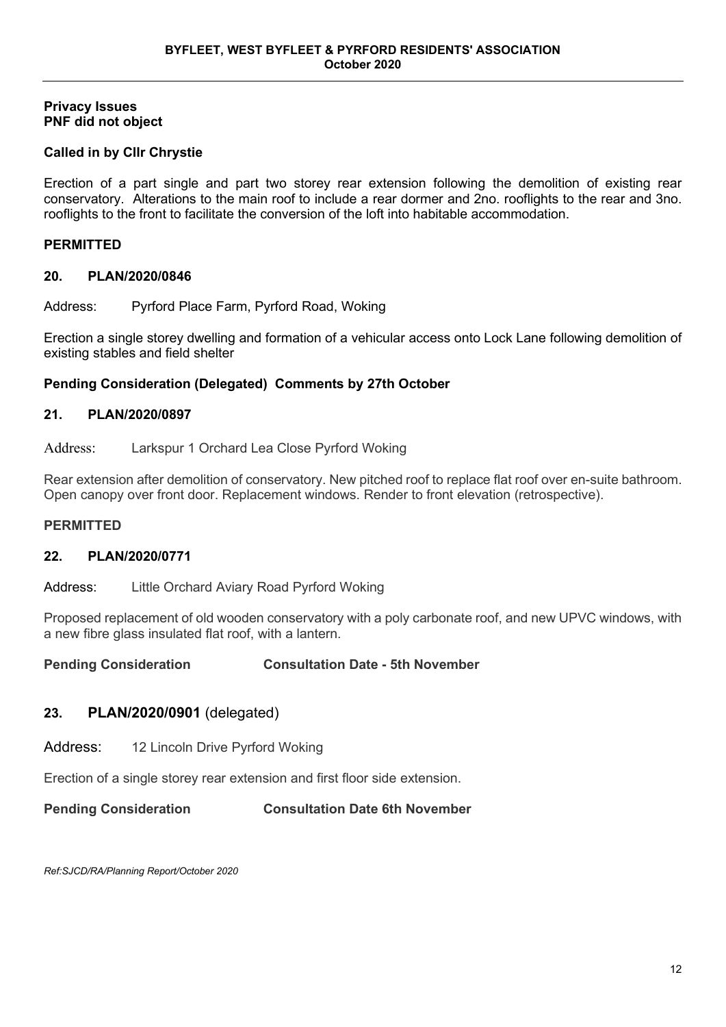### **Privacy Issues PNF did not object**

# **Called in by Cllr Chrystie**

Erection of a part single and part two storey rear extension following the demolition of existing rear conservatory. Alterations to the main roof to include a rear dormer and 2no. rooflights to the rear and 3no. rooflights to the front to facilitate the conversion of the loft into habitable accommodation.

### **PERMITTED**

### **20. PLAN/2020/0846**

Address: Pyrford Place Farm, Pyrford Road, Woking

Erection a single storey dwelling and formation of a vehicular access onto Lock Lane following demolition of existing stables and field shelter

### **Pending Consideration (Delegated) Comments by 27th October**

### **21. PLAN/2020/0897**

Address: Larkspur 1 Orchard Lea Close Pyrford Woking

Rear extension after demolition of conservatory. New pitched roof to replace flat roof over en-suite bathroom. Open canopy over front door. Replacement windows. Render to front elevation (retrospective).

### **PERMITTED**

# **22. PLAN/2020/0771**

Address: Little Orchard Aviary Road Pyrford Woking

Proposed replacement of old wooden conservatory with a poly carbonate roof, and new UPVC windows, with a new fibre glass insulated flat roof, with a lantern.

**Pending Consideration Consultation Date - 5th November**

# **23. PLAN/2020/0901** (delegated)

Address: 12 Lincoln Drive Pyrford Woking

Erection of a single storey rear extension and first floor side extension.

**Pending Consideration Consultation Date 6th November**

*Ref:SJCD/RA/Planning Report/October 2020*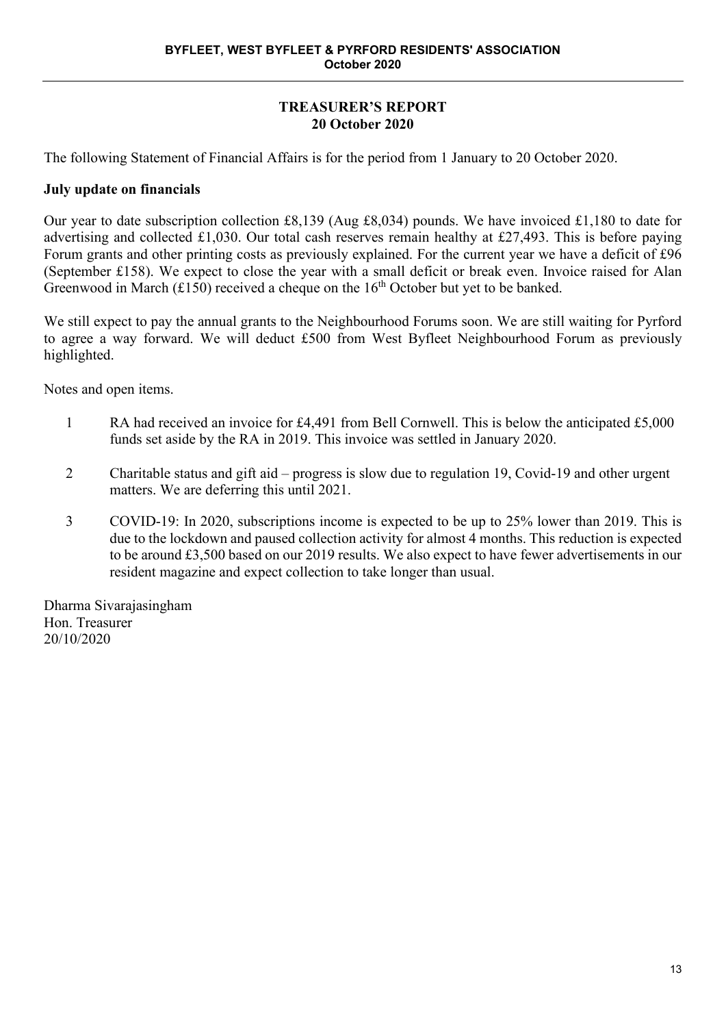# **TREASURER'S REPORT 20 October 2020**

The following Statement of Financial Affairs is for the period from 1 January to 20 October 2020.

# **July update on financials**

Our year to date subscription collection £8,139 (Aug £8,034) pounds. We have invoiced £1,180 to date for advertising and collected £1,030. Our total cash reserves remain healthy at £27,493. This is before paying Forum grants and other printing costs as previously explained. For the current year we have a deficit of £96 (September £158). We expect to close the year with a small deficit or break even. Invoice raised for Alan Greenwood in March (£150) received a cheque on the  $16<sup>th</sup>$  October but yet to be banked.

We still expect to pay the annual grants to the Neighbourhood Forums soon. We are still waiting for Pyrford to agree a way forward. We will deduct £500 from West Byfleet Neighbourhood Forum as previously highlighted.

Notes and open items.

- 1 RA had received an invoice for £4,491 from Bell Cornwell. This is below the anticipated £5,000 funds set aside by the RA in 2019. This invoice was settled in January 2020.
- 2 Charitable status and gift aid progress is slow due to regulation 19, Covid-19 and other urgent matters. We are deferring this until 2021.
- 3 COVID-19: In 2020, subscriptions income is expected to be up to 25% lower than 2019. This is due to the lockdown and paused collection activity for almost 4 months. This reduction is expected to be around £3,500 based on our 2019 results. We also expect to have fewer advertisements in our resident magazine and expect collection to take longer than usual.

Dharma Sivarajasingham Hon. Treasurer 20/10/2020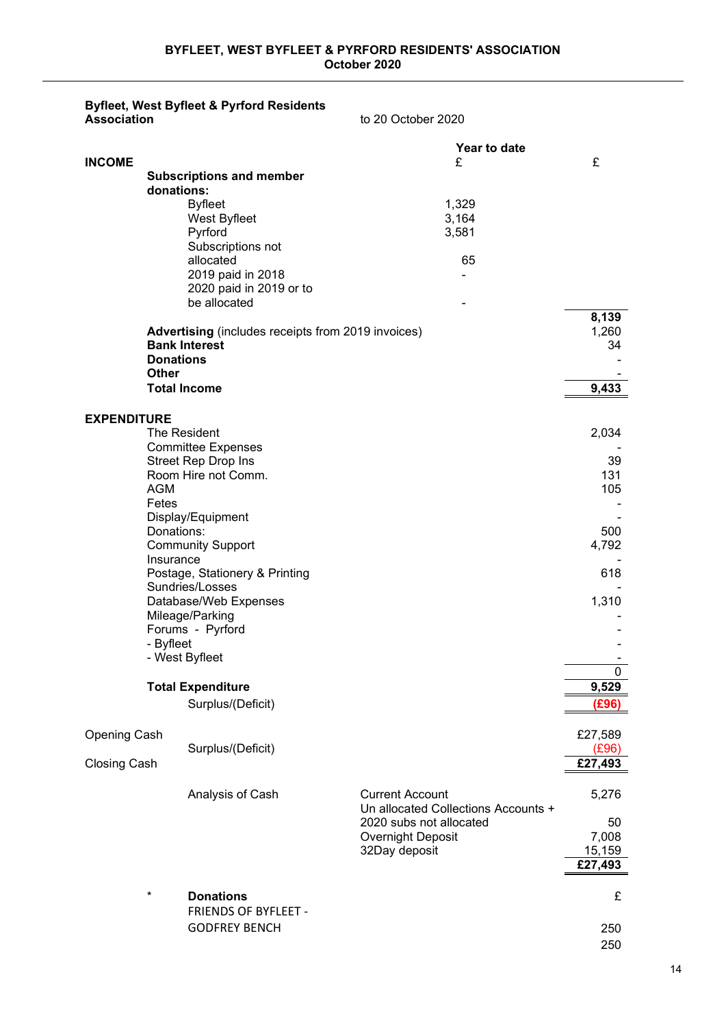### **Byfleet, West Byfleet & Pyrford Residents Association** to 20 October 2020

|                     |                  |                                                           | Year to date                                                   |              |
|---------------------|------------------|-----------------------------------------------------------|----------------------------------------------------------------|--------------|
| <b>INCOME</b>       |                  |                                                           | £                                                              | £            |
|                     | donations:       | <b>Subscriptions and member</b>                           |                                                                |              |
|                     |                  | <b>Byfleet</b>                                            | 1,329                                                          |              |
|                     |                  | West Byfleet                                              | 3,164                                                          |              |
|                     |                  | Pyrford                                                   | 3,581                                                          |              |
|                     |                  | Subscriptions not                                         |                                                                |              |
|                     |                  | allocated<br>2019 paid in 2018                            | 65                                                             |              |
|                     |                  | 2020 paid in 2019 or to                                   |                                                                |              |
|                     |                  | be allocated                                              |                                                                |              |
|                     |                  |                                                           |                                                                | 8,139        |
|                     |                  | <b>Advertising</b> (includes receipts from 2019 invoices) |                                                                | 1,260        |
|                     | <b>Donations</b> | <b>Bank Interest</b>                                      |                                                                | 34           |
|                     | Other            |                                                           |                                                                |              |
|                     |                  | <b>Total Income</b>                                       |                                                                | 9,433        |
|                     |                  |                                                           |                                                                |              |
| <b>EXPENDITURE</b>  |                  |                                                           |                                                                |              |
|                     |                  | The Resident                                              |                                                                | 2,034        |
|                     |                  | <b>Committee Expenses</b><br><b>Street Rep Drop Ins</b>   |                                                                | 39           |
|                     |                  | Room Hire not Comm.                                       |                                                                | 131          |
|                     | <b>AGM</b>       |                                                           |                                                                | 105          |
|                     | Fetes            |                                                           |                                                                |              |
|                     |                  | Display/Equipment                                         |                                                                |              |
|                     | Donations:       | <b>Community Support</b>                                  |                                                                | 500<br>4,792 |
|                     | Insurance        |                                                           |                                                                |              |
|                     |                  | Postage, Stationery & Printing                            |                                                                | 618          |
|                     |                  | Sundries/Losses                                           |                                                                |              |
|                     |                  | Database/Web Expenses<br>Mileage/Parking                  |                                                                | 1,310        |
|                     |                  | Forums - Pyrford                                          |                                                                |              |
|                     | - Byfleet        |                                                           |                                                                |              |
|                     |                  | - West Byfleet                                            |                                                                |              |
|                     |                  |                                                           |                                                                | 0            |
|                     |                  | <b>Total Expenditure</b>                                  |                                                                | 9,529        |
|                     |                  | Surplus/(Deficit)                                         |                                                                | (E96)        |
| <b>Opening Cash</b> |                  |                                                           |                                                                | £27,589      |
|                     |                  | Surplus/(Deficit)                                         |                                                                | (E96)        |
| <b>Closing Cash</b> |                  |                                                           |                                                                | £27,493      |
|                     |                  |                                                           |                                                                |              |
|                     |                  | Analysis of Cash                                          | <b>Current Account</b>                                         | 5,276        |
|                     |                  |                                                           | Un allocated Collections Accounts +<br>2020 subs not allocated | 50           |
|                     |                  |                                                           | Overnight Deposit                                              | 7,008        |
|                     |                  |                                                           | 32Day deposit                                                  | 15,159       |
|                     |                  |                                                           |                                                                | £27,493      |
|                     |                  |                                                           |                                                                |              |
|                     | $^\star$         | <b>Donations</b>                                          |                                                                | £            |
|                     |                  | FRIENDS OF BYFLEET -                                      |                                                                |              |
|                     |                  | <b>GODFREY BENCH</b>                                      |                                                                | 250<br>250   |
|                     |                  |                                                           |                                                                |              |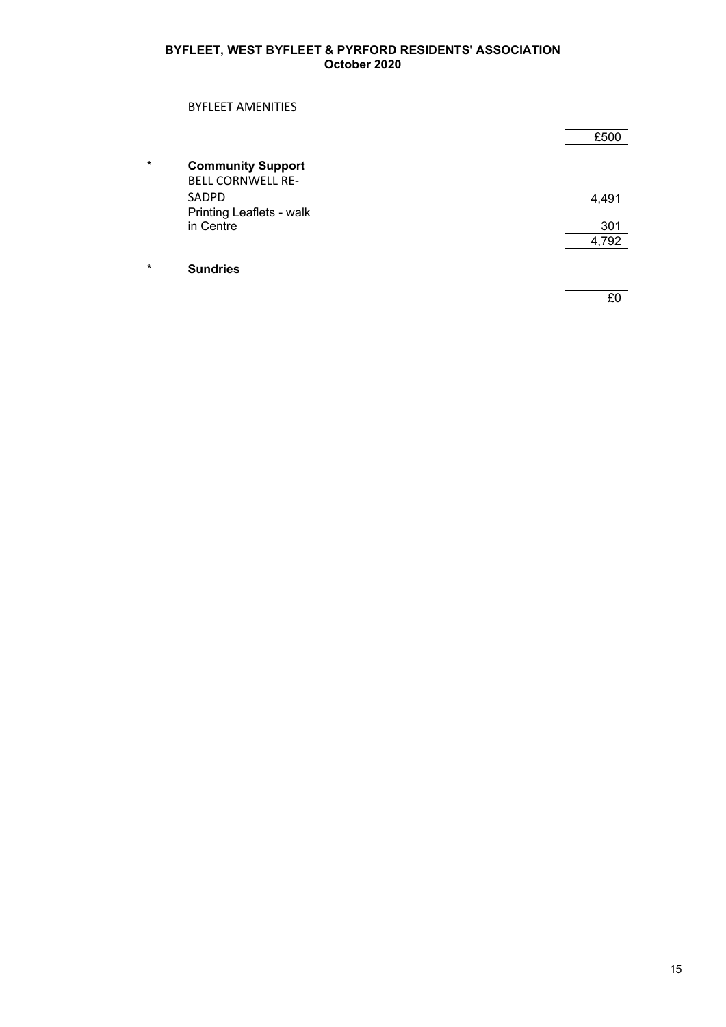### BYFLEET AMENITIES

|         |                                                      | £500  |
|---------|------------------------------------------------------|-------|
| $\star$ | <b>Community Support</b><br><b>BELL CORNWELL RE-</b> |       |
|         | SADPD                                                | 4,491 |
|         | Printing Leaflets - walk                             |       |
|         | in Centre                                            | 301   |
|         |                                                      | 4,792 |
| $\star$ | <b>Sundries</b>                                      |       |
|         |                                                      | £0    |
|         |                                                      |       |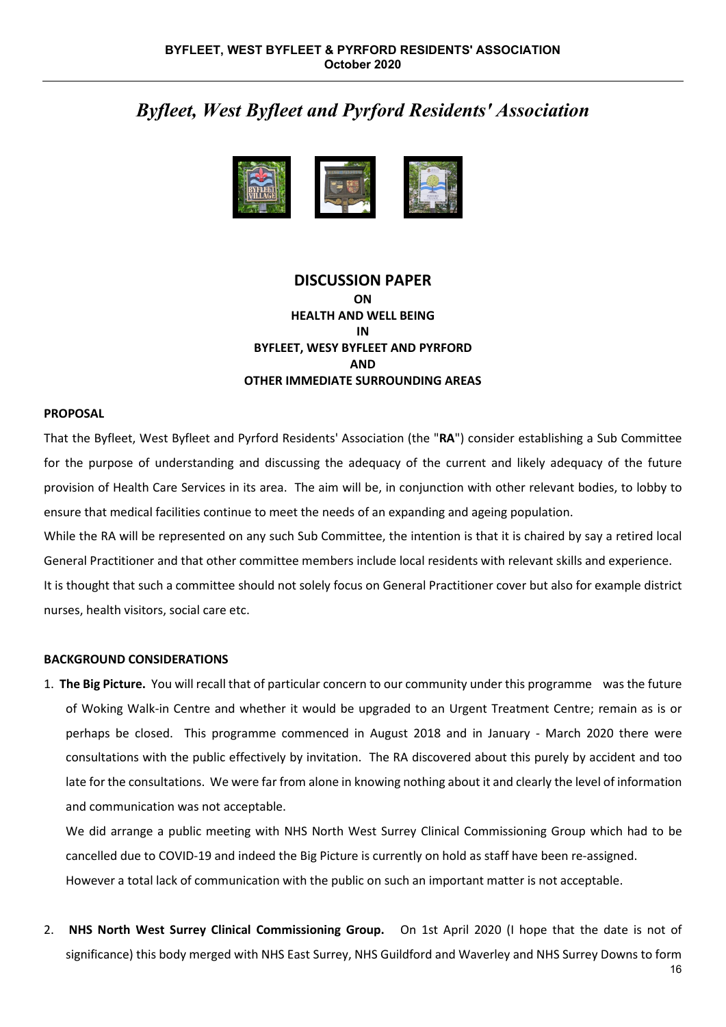# *Byfleet, West Byfleet and Pyrford Residents' Association*



### **DISCUSSION PAPER ON HEALTH AND WELL BEING IN BYFLEET, WESY BYFLEET AND PYRFORD AND OTHER IMMEDIATE SURROUNDING AREAS**

### **PROPOSAL**

That the Byfleet, West Byfleet and Pyrford Residents' Association (the "**RA**") consider establishing a Sub Committee for the purpose of understanding and discussing the adequacy of the current and likely adequacy of the future provision of Health Care Services in its area. The aim will be, in conjunction with other relevant bodies, to lobby to ensure that medical facilities continue to meet the needs of an expanding and ageing population.

While the RA will be represented on any such Sub Committee, the intention is that it is chaired by say a retired local General Practitioner and that other committee members include local residents with relevant skills and experience. It is thought that such a committee should not solely focus on General Practitioner cover but also for example district nurses, health visitors, social care etc.

### **BACKGROUND CONSIDERATIONS**

1. **The Big Picture.** You will recall that of particular concern to our community under this programme was the future of Woking Walk-in Centre and whether it would be upgraded to an Urgent Treatment Centre; remain as is or perhaps be closed. This programme commenced in August 2018 and in January - March 2020 there were consultations with the public effectively by invitation. The RA discovered about this purely by accident and too late for the consultations. We were far from alone in knowing nothing about it and clearly the level of information and communication was not acceptable.

We did arrange a public meeting with NHS North West Surrey Clinical Commissioning Group which had to be cancelled due to COVID-19 and indeed the Big Picture is currently on hold as staff have been re-assigned. However a total lack of communication with the public on such an important matter is not acceptable.

2. **NHS North West Surrey Clinical Commissioning Group.** On 1st April 2020 (I hope that the date is not of significance) this body merged with NHS East Surrey, NHS Guildford and Waverley and NHS Surrey Downs to form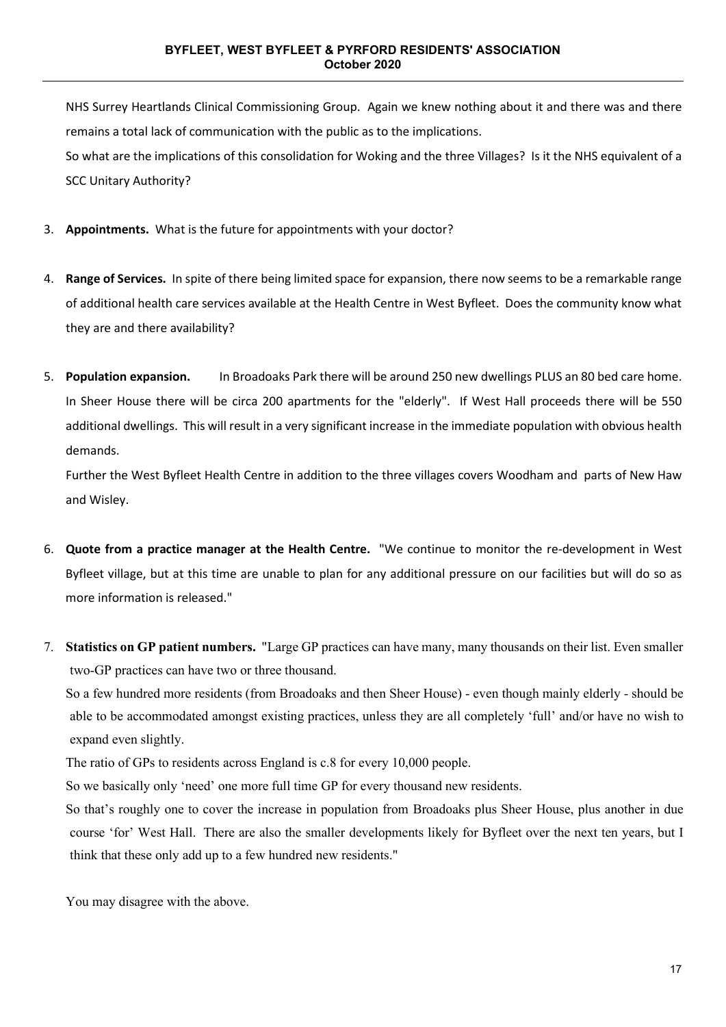NHS Surrey Heartlands Clinical Commissioning Group. Again we knew nothing about it and there was and there remains a total lack of communication with the public as to the implications. So what are the implications of this consolidation for Woking and the three Villages? Is it the NHS equivalent of a SCC Unitary Authority?

- 3. **Appointments.** What is the future for appointments with your doctor?
- 4. **Range of Services.** In spite of there being limited space for expansion, there now seems to be a remarkable range of additional health care services available at the Health Centre in West Byfleet. Does the community know what they are and there availability?
- 5. **Population expansion.** In Broadoaks Park there will be around 250 new dwellings PLUS an 80 bed care home. In Sheer House there will be circa 200 apartments for the "elderly". If West Hall proceeds there will be 550 additional dwellings. This will result in a very significant increase in the immediate population with obvious health demands.

Further the West Byfleet Health Centre in addition to the three villages covers Woodham and parts of New Haw and Wisley.

- 6. **Quote from a practice manager at the Health Centre.** "We continue to monitor the re-development in West Byfleet village, but at this time are unable to plan for any additional pressure on our facilities but will do so as more information is released."
- 7. **Statistics on GP patient numbers.** "Large GP practices can have many, many thousands on their list. Even smaller two-GP practices can have two or three thousand.

So a few hundred more residents (from Broadoaks and then Sheer House) - even though mainly elderly - should be able to be accommodated amongst existing practices, unless they are all completely 'full' and/or have no wish to expand even slightly.

The ratio of GPs to residents across England is c.8 for every 10,000 people.

So we basically only 'need' one more full time GP for every thousand new residents.

So that's roughly one to cover the increase in population from Broadoaks plus Sheer House, plus another in due course 'for' West Hall. There are also the smaller developments likely for Byfleet over the next ten years, but I think that these only add up to a few hundred new residents."

You may disagree with the above.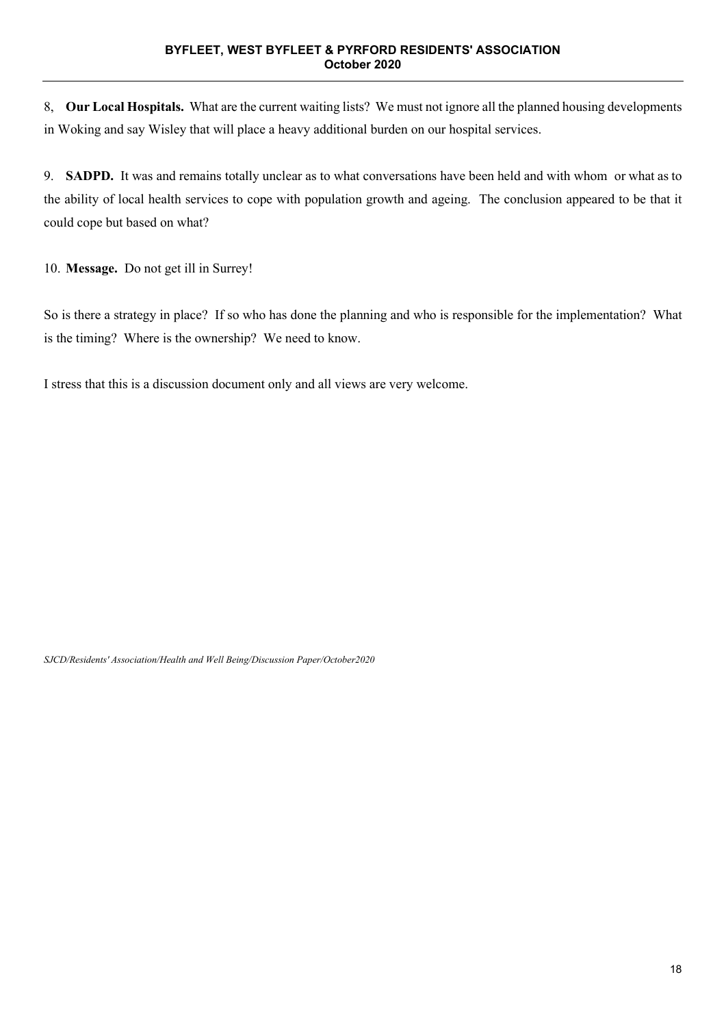8, **Our Local Hospitals.** What are the current waiting lists? We must not ignore all the planned housing developments in Woking and say Wisley that will place a heavy additional burden on our hospital services.

9. **SADPD.** It was and remains totally unclear as to what conversations have been held and with whom or what as to the ability of local health services to cope with population growth and ageing. The conclusion appeared to be that it could cope but based on what?

10. **Message.** Do not get ill in Surrey!

So is there a strategy in place? If so who has done the planning and who is responsible for the implementation? What is the timing? Where is the ownership? We need to know.

I stress that this is a discussion document only and all views are very welcome.

*SJCD/Residents' Association/Health and Well Being/Discussion Paper/October2020*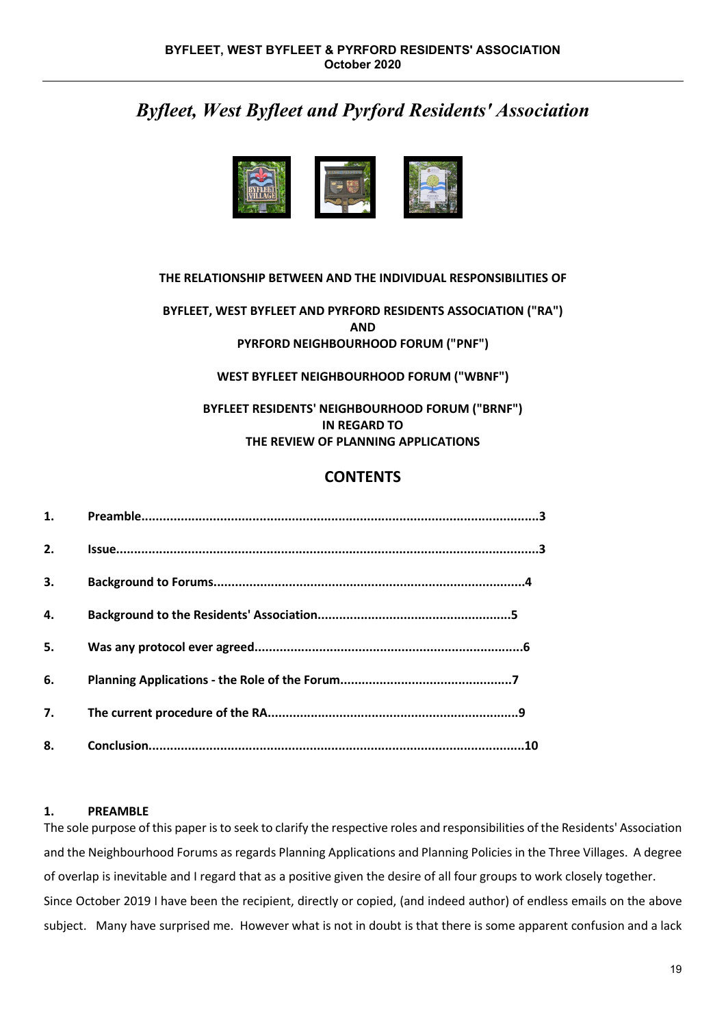# *Byfleet, West Byfleet and Pyrford Residents' Association*



### **THE RELATIONSHIP BETWEEN AND THE INDIVIDUAL RESPONSIBILITIES OF**

### **BYFLEET, WEST BYFLEET AND PYRFORD RESIDENTS ASSOCIATION ("RA") AND PYRFORD NEIGHBOURHOOD FORUM ("PNF")**

### **WEST BYFLEET NEIGHBOURHOOD FORUM ("WBNF")**

### **BYFLEET RESIDENTS' NEIGHBOURHOOD FORUM ("BRNF") IN REGARD TO THE REVIEW OF PLANNING APPLICATIONS**

# **CONTENTS**

| 1. |  |
|----|--|
| 2. |  |
| 3. |  |
| 4. |  |
| 5. |  |
| 6. |  |
| 7. |  |
| 8. |  |

### **1. PREAMBLE**

The sole purpose of this paper is to seek to clarify the respective roles and responsibilities of the Residents' Association and the Neighbourhood Forums as regards Planning Applications and Planning Policies in the Three Villages. A degree of overlap is inevitable and I regard that as a positive given the desire of all four groups to work closely together. Since October 2019 I have been the recipient, directly or copied, (and indeed author) of endless emails on the above subject. Many have surprised me. However what is not in doubt is that there is some apparent confusion and a lack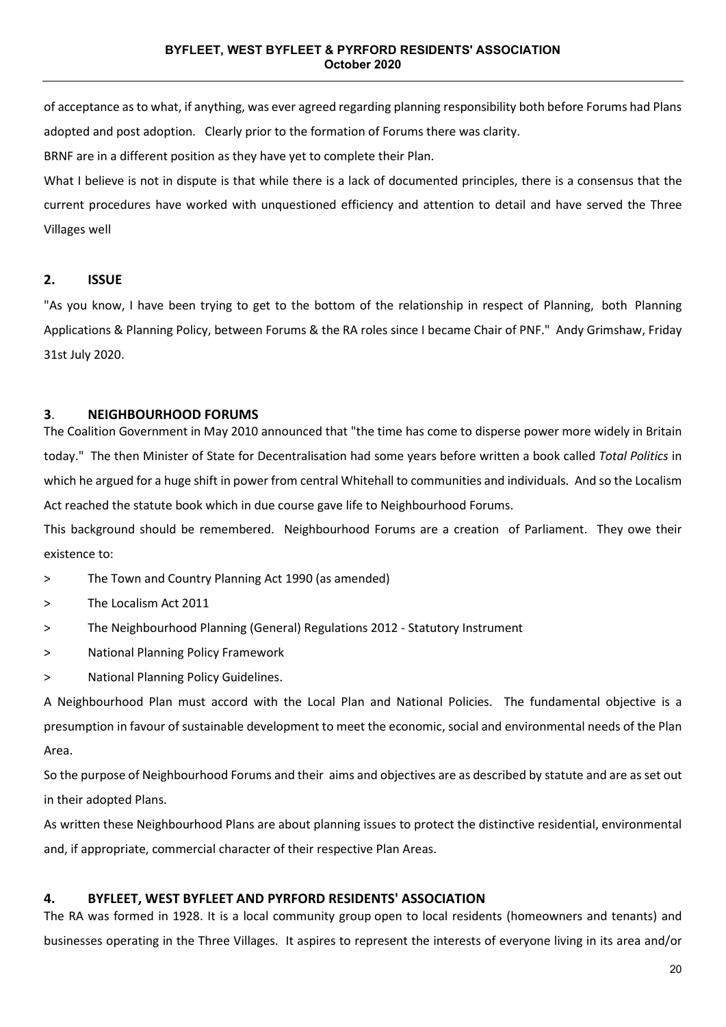of acceptance as to what, if anything, was ever agreed regarding planning responsibility both before Forums had Plans adopted and post adoption. Clearly prior to the formation of Forums there was clarity.

BRNF are in a different position as they have yet to complete their Plan.

What I believe is not in dispute is that while there is a lack of documented principles, there is a consensus that the current procedures have worked with unquestioned efficiency and attention to detail and have served the Three Villages well

### **2. ISSUE**

"As you know, I have been trying to get to the bottom of the relationship in respect of Planning, both Planning Applications & Planning Policy, between Forums & the RA roles since I became Chair of PNF." Andy Grimshaw, Friday 31st July 2020.

### **3**. **NEIGHBOURHOOD FORUMS**

The Coalition Government in May 2010 announced that "the time has come to disperse power more widely in Britain today." The then Minister of State for Decentralisation had some years before written a book called *Total Politics* in which he argued for a huge shift in power from central Whitehall to communities and individuals. And so the Localism Act reached the statute book which in due course gave life to Neighbourhood Forums.

This background should be remembered. Neighbourhood Forums are a creation of Parliament. They owe their existence to:

> The Town and Country Planning Act 1990 (as amended)

- > The Localism Act 2011
- > The Neighbourhood Planning (General) Regulations 2012 Statutory Instrument
- > National Planning Policy Framework
- > National Planning Policy Guidelines.

A Neighbourhood Plan must accord with the Local Plan and National Policies. The fundamental objective is a presumption in favour of sustainable development to meet the economic, social and environmental needs of the Plan Area.

So the purpose of Neighbourhood Forums and their aims and objectives are as described by statute and are as set out in their adopted Plans.

As written these Neighbourhood Plans are about planning issues to protect the distinctive residential, environmental and, if appropriate, commercial character of their respective Plan Areas.

### **4. BYFLEET, WEST BYFLEET AND PYRFORD RESIDENTS' ASSOCIATION**

The RA was formed in 1928. It is a local community group open to local residents (homeowners and tenants) and businesses operating in the Three Villages. It aspires to represent the interests of everyone living in its area and/or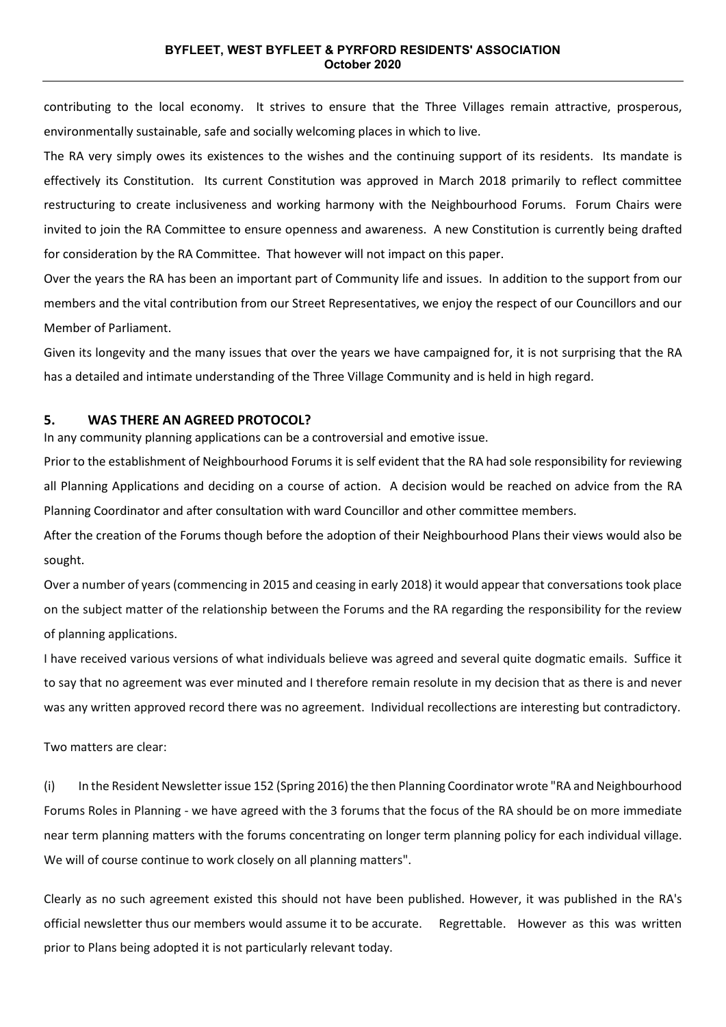contributing to the local economy. It strives to ensure that the Three Villages remain attractive, prosperous, environmentally sustainable, safe and socially welcoming places in which to live.

The RA very simply owes its existences to the wishes and the continuing support of its residents. Its mandate is effectively its Constitution. Its current Constitution was approved in March 2018 primarily to reflect committee restructuring to create inclusiveness and working harmony with the Neighbourhood Forums. Forum Chairs were invited to join the RA Committee to ensure openness and awareness. A new Constitution is currently being drafted for consideration by the RA Committee. That however will not impact on this paper.

Over the years the RA has been an important part of Community life and issues. In addition to the support from our members and the vital contribution from our Street Representatives, we enjoy the respect of our Councillors and our Member of Parliament.

Given its longevity and the many issues that over the years we have campaigned for, it is not surprising that the RA has a detailed and intimate understanding of the Three Village Community and is held in high regard.

### **5. WAS THERE AN AGREED PROTOCOL?**

In any community planning applications can be a controversial and emotive issue.

Prior to the establishment of Neighbourhood Forums it is self evident that the RA had sole responsibility for reviewing all Planning Applications and deciding on a course of action. A decision would be reached on advice from the RA Planning Coordinator and after consultation with ward Councillor and other committee members.

After the creation of the Forums though before the adoption of their Neighbourhood Plans their views would also be sought.

Over a number of years (commencing in 2015 and ceasing in early 2018) it would appear that conversations took place on the subject matter of the relationship between the Forums and the RA regarding the responsibility for the review of planning applications.

I have received various versions of what individuals believe was agreed and several quite dogmatic emails. Suffice it to say that no agreement was ever minuted and I therefore remain resolute in my decision that as there is and never was any written approved record there was no agreement. Individual recollections are interesting but contradictory.

Two matters are clear:

(i) In the Resident Newsletter issue 152 (Spring 2016) the then Planning Coordinator wrote "RA and Neighbourhood Forums Roles in Planning - we have agreed with the 3 forums that the focus of the RA should be on more immediate near term planning matters with the forums concentrating on longer term planning policy for each individual village. We will of course continue to work closely on all planning matters".

Clearly as no such agreement existed this should not have been published. However, it was published in the RA's official newsletter thus our members would assume it to be accurate. Regrettable. However as this was written prior to Plans being adopted it is not particularly relevant today.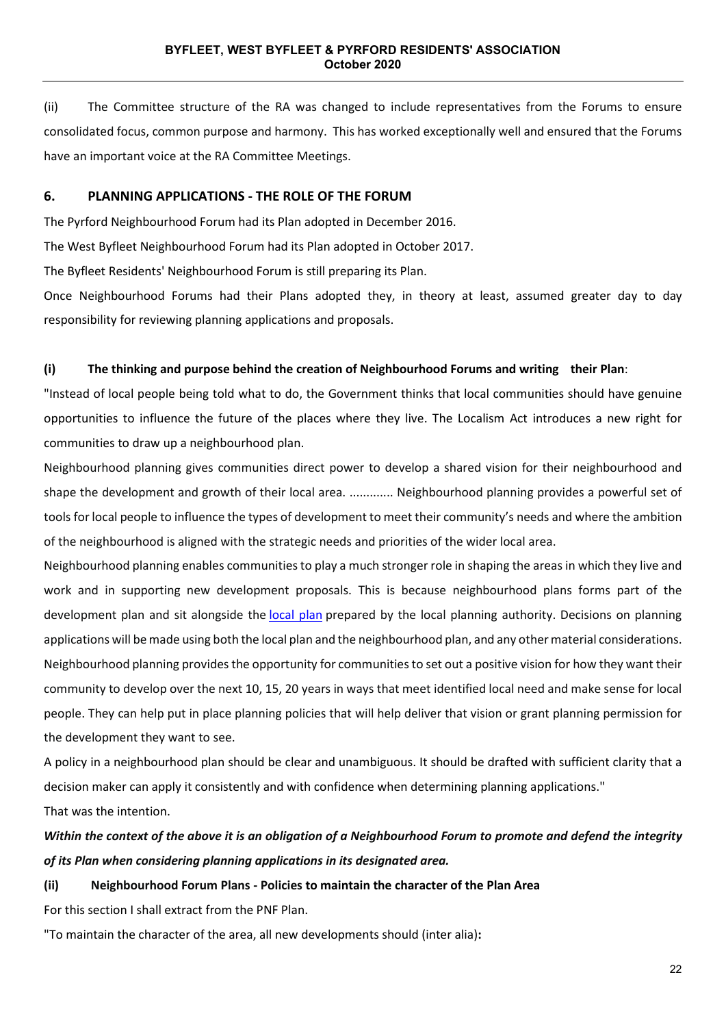(ii) The Committee structure of the RA was changed to include representatives from the Forums to ensure consolidated focus, common purpose and harmony. This has worked exceptionally well and ensured that the Forums have an important voice at the RA Committee Meetings.

### **6. PLANNING APPLICATIONS - THE ROLE OF THE FORUM**

The Pyrford Neighbourhood Forum had its Plan adopted in December 2016.

The West Byfleet Neighbourhood Forum had its Plan adopted in October 2017.

The Byfleet Residents' Neighbourhood Forum is still preparing its Plan.

Once Neighbourhood Forums had their Plans adopted they, in theory at least, assumed greater day to day responsibility for reviewing planning applications and proposals.

### **(i) The thinking and purpose behind the creation of Neighbourhood Forums and writing their Plan**:

"Instead of local people being told what to do, the Government thinks that local communities should have genuine opportunities to influence the future of the places where they live. The Localism Act introduces a new right for communities to draw up a neighbourhood plan.

Neighbourhood planning gives communities direct power to develop a shared vision for their neighbourhood and shape the development and growth of their local area. ............. Neighbourhood planning provides a powerful set of tools for local people to influence the types of development to meet their community's needs and where the ambition of the neighbourhood is aligned with the strategic needs and priorities of the wider local area.

Neighbourhood planning enables communities to play a much stronger role in shaping the areas in which they live and work and in supporting new development proposals. This is because neighbourhood plans forms part of the development plan and sit alongside the [local](https://www.gov.uk/guidance/local-plans--2) plan prepared by the local planning authority. Decisions on planning applications will be made using both the local plan and the neighbourhood plan, and any other material considerations. Neighbourhood planning provides the opportunity for communities to set out a positive vision for how they want their community to develop over the next 10, 15, 20 years in ways that meet identified local need and make sense for local people. They can help put in place planning policies that will help deliver that vision or grant planning permission for the development they want to see.

A policy in a neighbourhood plan should be clear and unambiguous. It should be drafted with sufficient clarity that a decision maker can apply it consistently and with confidence when determining planning applications." That was the intention.

# *Within the context of the above it is an obligation of a Neighbourhood Forum to promote and defend the integrity of its Plan when considering planning applications in its designated area.*

# **(ii) Neighbourhood Forum Plans - Policies to maintain the character of the Plan Area**

For this section I shall extract from the PNF Plan.

"To maintain the character of the area, all new developments should (inter alia)**:**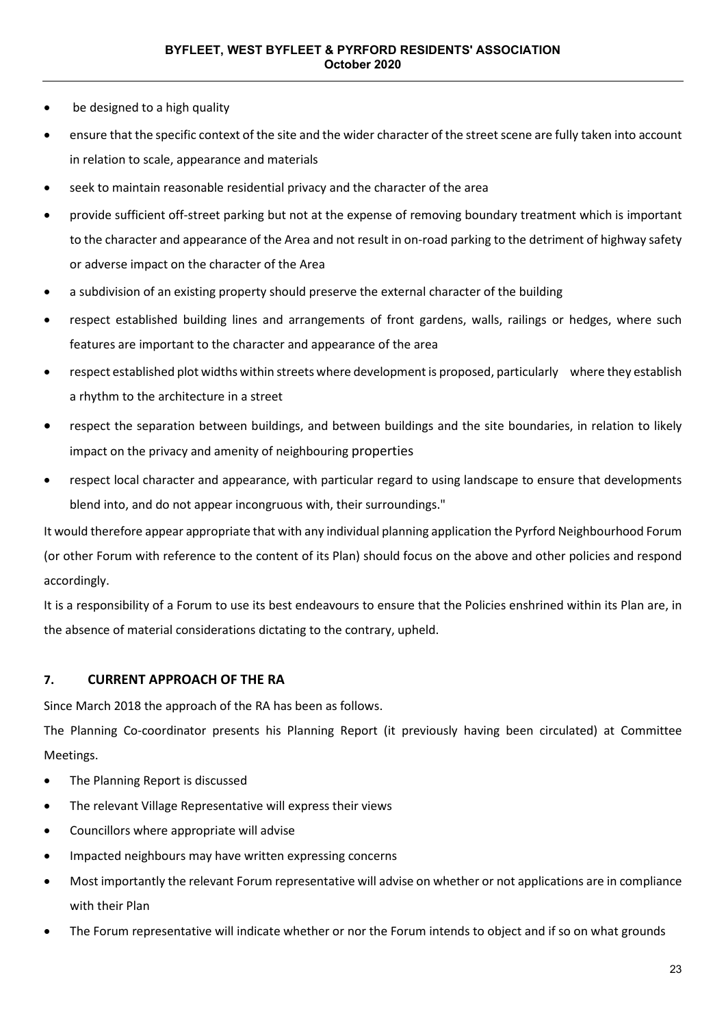- be designed to a high quality
- ensure that the specific context of the site and the wider character of the street scene are fully taken into account in relation to scale, appearance and materials
- seek to maintain reasonable residential privacy and the character of the area
- provide sufficient off-street parking but not at the expense of removing boundary treatment which is important to the character and appearance of the Area and not result in on-road parking to the detriment of highway safety or adverse impact on the character of the Area
- a subdivision of an existing property should preserve the external character of the building
- respect established building lines and arrangements of front gardens, walls, railings or hedges, where such features are important to the character and appearance of the area
- respect established plot widths within streets where development is proposed, particularly where they establish a rhythm to the architecture in a street
- respect the separation between buildings, and between buildings and the site boundaries, in relation to likely impact on the privacy and amenity of neighbouring properties
- respect local character and appearance, with particular regard to using landscape to ensure that developments blend into, and do not appear incongruous with, their surroundings."

It would therefore appear appropriate that with any individual planning application the Pyrford Neighbourhood Forum (or other Forum with reference to the content of its Plan) should focus on the above and other policies and respond accordingly.

It is a responsibility of a Forum to use its best endeavours to ensure that the Policies enshrined within its Plan are, in the absence of material considerations dictating to the contrary, upheld.

### **7. CURRENT APPROACH OF THE RA**

Since March 2018 the approach of the RA has been as follows.

The Planning Co-coordinator presents his Planning Report (it previously having been circulated) at Committee Meetings.

- The Planning Report is discussed
- The relevant Village Representative will express their views
- Councillors where appropriate will advise
- Impacted neighbours may have written expressing concerns
- Most importantly the relevant Forum representative will advise on whether or not applications are in compliance with their Plan
- The Forum representative will indicate whether or nor the Forum intends to object and if so on what grounds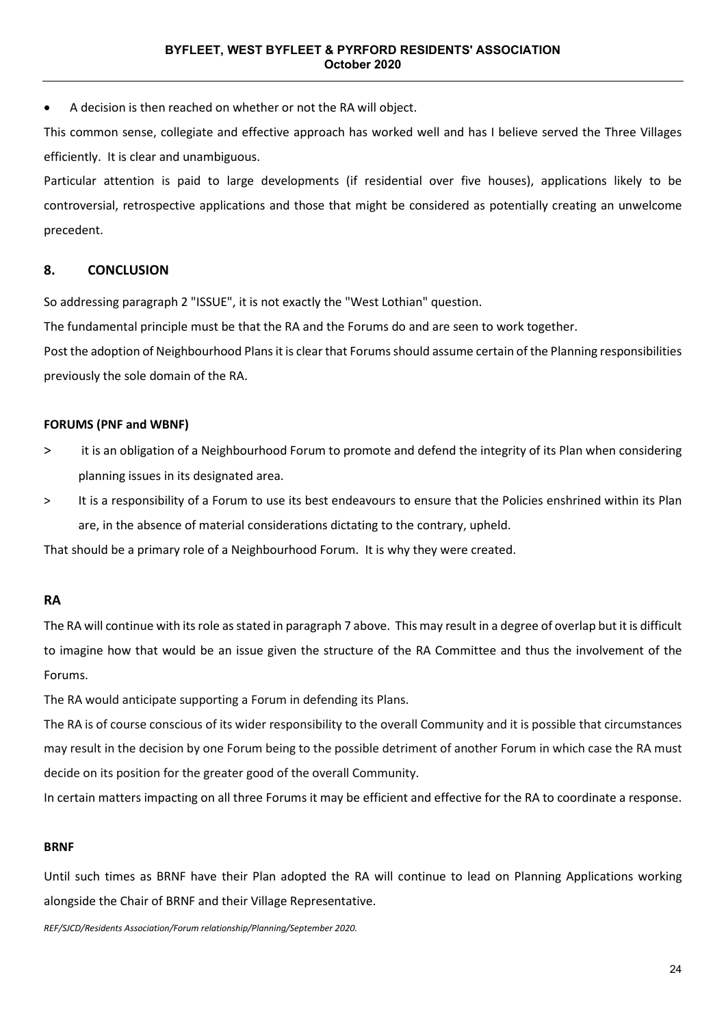• A decision is then reached on whether or not the RA will object.

This common sense, collegiate and effective approach has worked well and has I believe served the Three Villages efficiently. It is clear and unambiguous.

Particular attention is paid to large developments (if residential over five houses), applications likely to be controversial, retrospective applications and those that might be considered as potentially creating an unwelcome precedent.

### **8. CONCLUSION**

So addressing paragraph 2 "ISSUE", it is not exactly the "West Lothian" question.

The fundamental principle must be that the RA and the Forums do and are seen to work together.

Post the adoption of Neighbourhood Plans it is clear that Forums should assume certain of the Planning responsibilities previously the sole domain of the RA.

### **FORUMS (PNF and WBNF)**

- > it is an obligation of a Neighbourhood Forum to promote and defend the integrity of its Plan when considering planning issues in its designated area.
- > It is a responsibility of a Forum to use its best endeavours to ensure that the Policies enshrined within its Plan are, in the absence of material considerations dictating to the contrary, upheld.

That should be a primary role of a Neighbourhood Forum. It is why they were created.

### **RA**

The RA will continue with its role as stated in paragraph 7 above. This may result in a degree of overlap but it is difficult to imagine how that would be an issue given the structure of the RA Committee and thus the involvement of the Forums.

The RA would anticipate supporting a Forum in defending its Plans.

The RA is of course conscious of its wider responsibility to the overall Community and it is possible that circumstances may result in the decision by one Forum being to the possible detriment of another Forum in which case the RA must decide on its position for the greater good of the overall Community.

In certain matters impacting on all three Forums it may be efficient and effective for the RA to coordinate a response.

### **BRNF**

Until such times as BRNF have their Plan adopted the RA will continue to lead on Planning Applications working alongside the Chair of BRNF and their Village Representative.

*REF/SJCD/Residents Association/Forum relationship/Planning/September 2020.*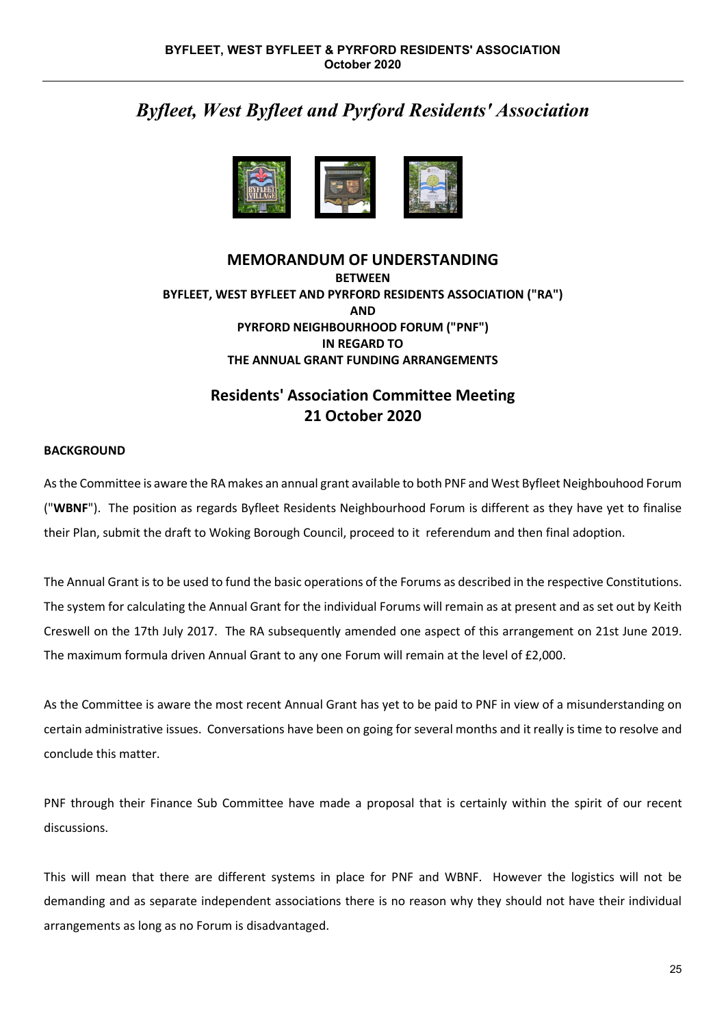# *Byfleet, West Byfleet and Pyrford Residents' Association*



# **MEMORANDUM OF UNDERSTANDING BETWEEN BYFLEET, WEST BYFLEET AND PYRFORD RESIDENTS ASSOCIATION ("RA") AND PYRFORD NEIGHBOURHOOD FORUM ("PNF") IN REGARD TO THE ANNUAL GRANT FUNDING ARRANGEMENTS**

# **Residents' Association Committee Meeting 21 October 2020**

### **BACKGROUND**

As the Committee is aware the RA makes an annual grant available to both PNF and West Byfleet Neighbouhood Forum ("**WBNF**"). The position as regards Byfleet Residents Neighbourhood Forum is different as they have yet to finalise their Plan, submit the draft to Woking Borough Council, proceed to it referendum and then final adoption.

The Annual Grant is to be used to fund the basic operations of the Forums as described in the respective Constitutions. The system for calculating the Annual Grant for the individual Forums will remain as at present and as set out by Keith Creswell on the 17th July 2017. The RA subsequently amended one aspect of this arrangement on 21st June 2019. The maximum formula driven Annual Grant to any one Forum will remain at the level of £2,000.

As the Committee is aware the most recent Annual Grant has yet to be paid to PNF in view of a misunderstanding on certain administrative issues. Conversations have been on going for several months and it really is time to resolve and conclude this matter.

PNF through their Finance Sub Committee have made a proposal that is certainly within the spirit of our recent discussions.

This will mean that there are different systems in place for PNF and WBNF. However the logistics will not be demanding and as separate independent associations there is no reason why they should not have their individual arrangements as long as no Forum is disadvantaged.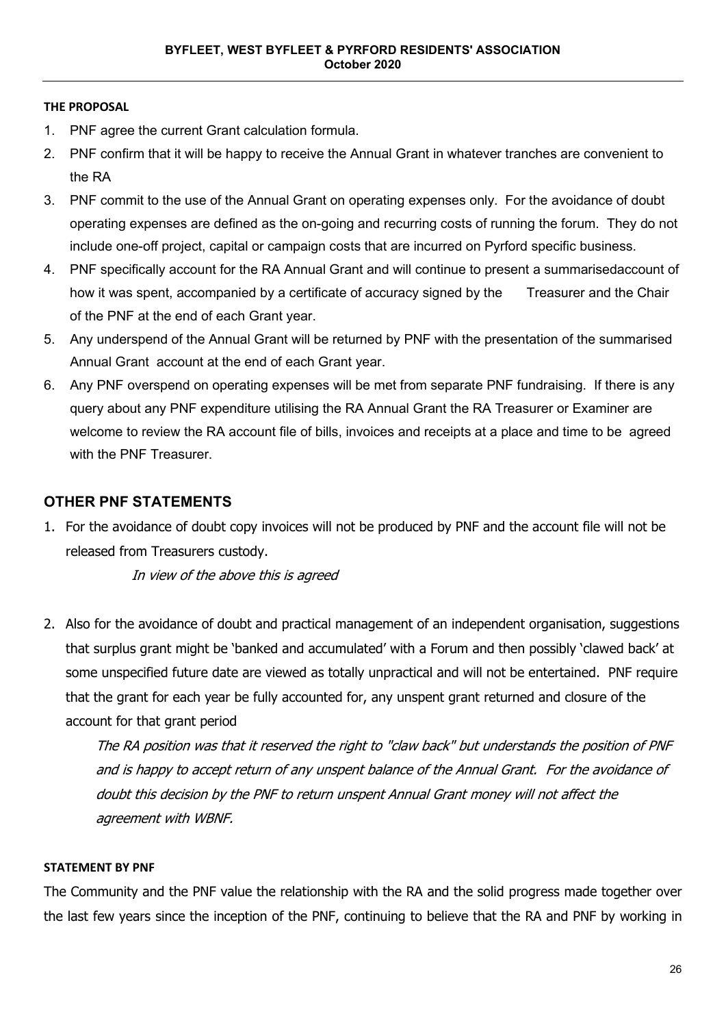### **THE PROPOSAL**

- 1. PNF agree the current Grant calculation formula.
- 2. PNF confirm that it will be happy to receive the Annual Grant in whatever tranches are convenient to the RA
- 3. PNF commit to the use of the Annual Grant on operating expenses only. For the avoidance of doubt operating expenses are defined as the on-going and recurring costs of running the forum. They do not include one-off project, capital or campaign costs that are incurred on Pyrford specific business.
- 4. PNF specifically account for the RA Annual Grant and will continue to present a summarisedaccount of how it was spent, accompanied by a certificate of accuracy signed by the Treasurer and the Chair of the PNF at the end of each Grant year.
- 5. Any underspend of the Annual Grant will be returned by PNF with the presentation of the summarised Annual Grant account at the end of each Grant year.
- 6. Any PNF overspend on operating expenses will be met from separate PNF fundraising. If there is any query about any PNF expenditure utilising the RA Annual Grant the RA Treasurer or Examiner are welcome to review the RA account file of bills, invoices and receipts at a place and time to be agreed with the PNF Treasurer.

# **OTHER PNF STATEMENTS**

1. For the avoidance of doubt copy invoices will not be produced by PNF and the account file will not be released from Treasurers custody.

In view of the above this is agreed

2. Also for the avoidance of doubt and practical management of an independent organisation, suggestions that surplus grant might be 'banked and accumulated' with a Forum and then possibly 'clawed back' at some unspecified future date are viewed as totally unpractical and will not be entertained. PNF require that the grant for each year be fully accounted for, any unspent grant returned and closure of the account for that grant period

The RA position was that it reserved the right to "claw back" but understands the position of PNF and is happy to accept return of any unspent balance of the Annual Grant. For the avoidance of doubt this decision by the PNF to return unspent Annual Grant money will not affect the agreement with WBNF.

### **STATEMENT BY PNF**

The Community and the PNF value the relationship with the RA and the solid progress made together over the last few years since the inception of the PNF, continuing to believe that the RA and PNF by working in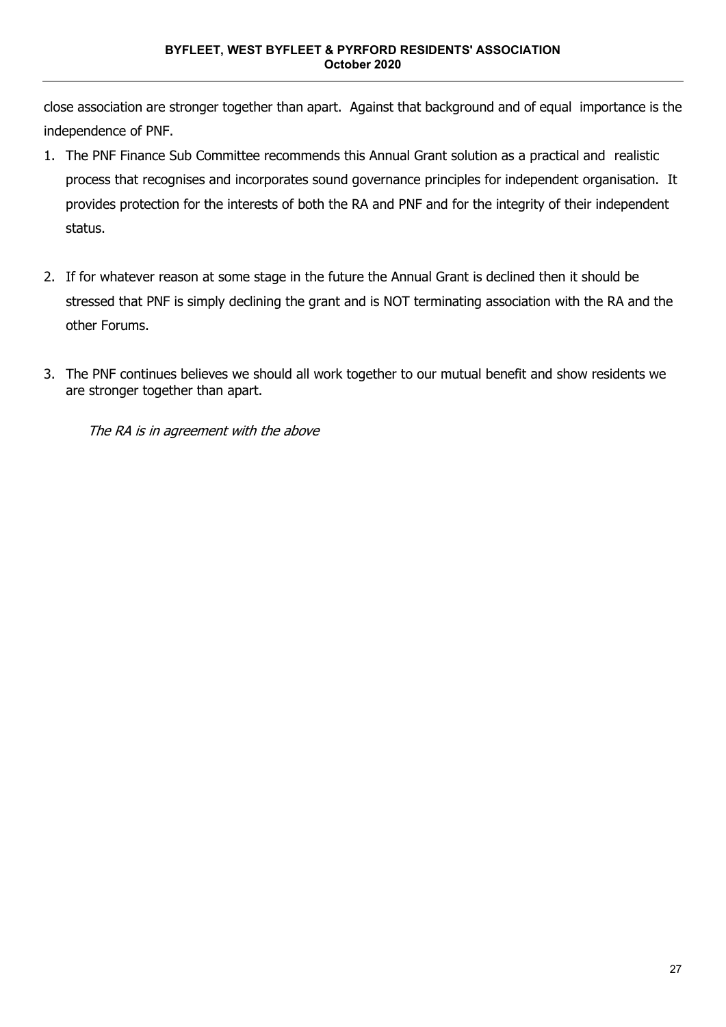close association are stronger together than apart. Against that background and of equal importance is the independence of PNF.

- 1. The PNF Finance Sub Committee recommends this Annual Grant solution as a practical and realistic process that recognises and incorporates sound governance principles for independent organisation. It provides protection for the interests of both the RA and PNF and for the integrity of their independent status.
- 2. If for whatever reason at some stage in the future the Annual Grant is declined then it should be stressed that PNF is simply declining the grant and is NOT terminating association with the RA and the other Forums.
- 3. The PNF continues believes we should all work together to our mutual benefit and show residents we are stronger together than apart.

The RA is in agreement with the above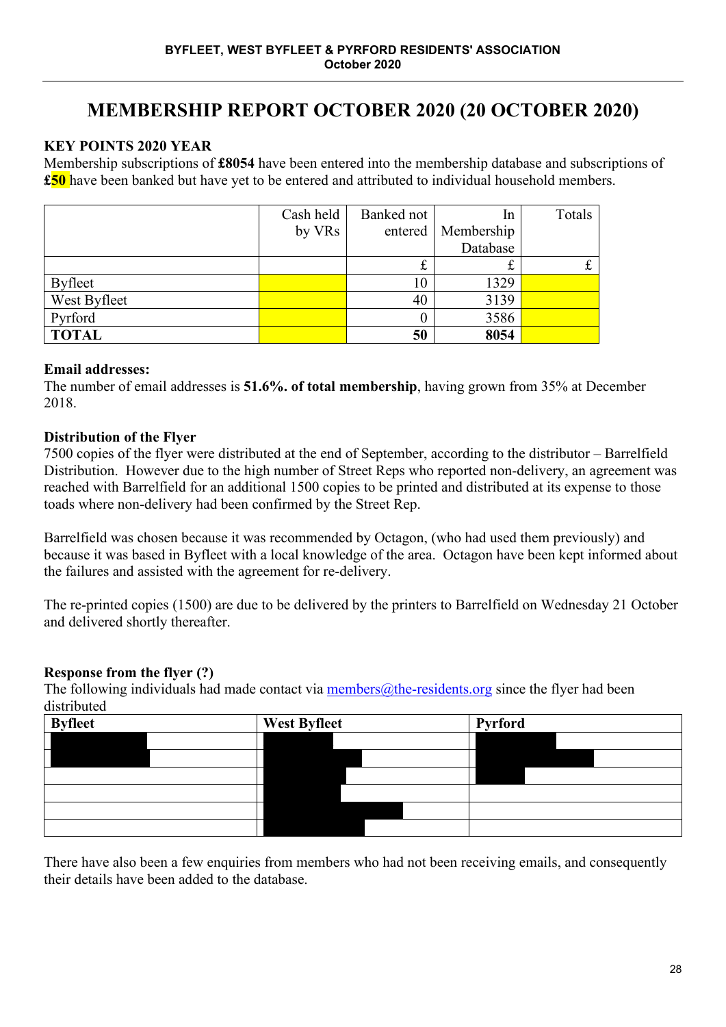# **MEMBERSHIP REPORT OCTOBER 2020 (20 OCTOBER 2020)**

# **KEY POINTS 2020 YEAR**

Membership subscriptions of **£8054** have been entered into the membership database and subscriptions of **£50** have been banked but have yet to be entered and attributed to individual household members.

|                | Cash held | Banked not | In         | Totals |
|----------------|-----------|------------|------------|--------|
|                | by VRs    | entered    | Membership |        |
|                |           |            | Database   |        |
|                |           | t          | 尢          |        |
| <b>Byfleet</b> |           | 10         | 1329       |        |
| West Byfleet   |           | 40         | 3139       |        |
| Pyrford        |           |            | 3586       |        |
| <b>TOTAL</b>   |           | 50         | 8054       |        |

# **Email addresses:**

The number of email addresses is **51.6%. of total membership**, having grown from 35% at December 2018.

# **Distribution of the Flyer**

7500 copies of the flyer were distributed at the end of September, according to the distributor – Barrelfield Distribution. However due to the high number of Street Reps who reported non-delivery, an agreement was reached with Barrelfield for an additional 1500 copies to be printed and distributed at its expense to those toads where non-delivery had been confirmed by the Street Rep.

Barrelfield was chosen because it was recommended by Octagon, (who had used them previously) and because it was based in Byfleet with a local knowledge of the area. Octagon have been kept informed about the failures and assisted with the agreement for re-delivery.

The re-printed copies (1500) are due to be delivered by the printers to Barrelfield on Wednesday 21 October and delivered shortly thereafter.

# **Response from the flyer (?)**

The following individuals had made contact via members $@$ the-residents.org since the flyer had been distributed

| <b>Byfleet</b> |  | <b>West Byfleet</b> | Pyrford |  |  |
|----------------|--|---------------------|---------|--|--|
|                |  |                     |         |  |  |
|                |  |                     |         |  |  |
|                |  |                     |         |  |  |
|                |  |                     |         |  |  |
|                |  |                     |         |  |  |
|                |  |                     |         |  |  |

There have also been a few enquiries from members who had not been receiving emails, and consequently their details have been added to the database.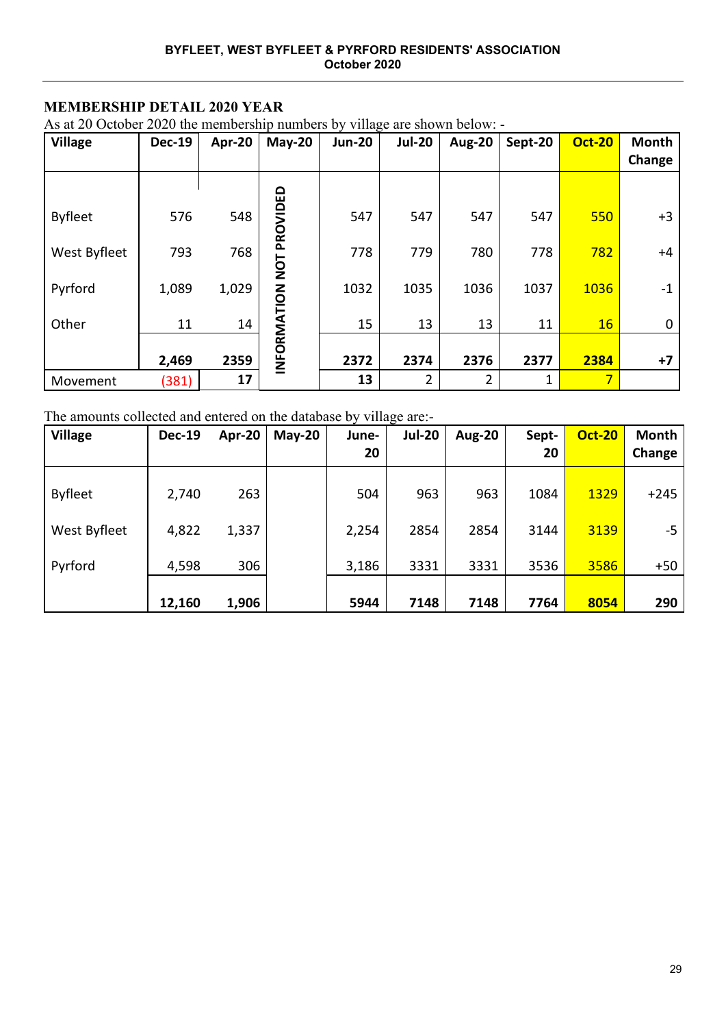# **MEMBERSHIP DETAIL 2020 YEAR**

As at 20 October 2020 the membership numbers by village are shown below: -

| <b>Village</b> | <b>Dec-19</b> | Apr-20 | $May-20$    | . --- <sub>o</sub><br><b>Jun-20</b> | <b>Jul-20</b>  | <b>Aug-20</b> | Sept-20 | <b>Oct-20</b>  | Month<br>Change |
|----------------|---------------|--------|-------------|-------------------------------------|----------------|---------------|---------|----------------|-----------------|
|                |               |        |             |                                     |                |               |         |                |                 |
| <b>Byfleet</b> | 576           | 548    | PROVIDED    | 547                                 | 547            | 547           | 547     | 550            | $+3$            |
| West Byfleet   | 793           | 768    | TON         | 778                                 | 779            | 780           | 778     | 782            | $+4$            |
| Pyrford        | 1,089         | 1,029  |             | 1032                                | 1035           | 1036          | 1037    | 1036           | $-1$            |
| Other          | 11            | 14     |             | 15                                  | 13             | 13            | 11      | 16             | 0               |
|                | 2,469         | 2359   | INFORMATION | 2372                                | 2374           | 2376          | 2377    | 2384           | +7              |
| Movement       | (381)         | 17     |             | 13                                  | $\overline{2}$ | 2             |         | $\overline{7}$ |                 |

The amounts collected and entered on the database by village are:-

| <b>Village</b> | <b>Dec-19</b> | Apr-20 | $May-20$ | June-<br>20 | <b>Jul-20</b> | <b>Aug-20</b> | Sept-<br>20 | <b>Oct-20</b> | Month<br>Change |
|----------------|---------------|--------|----------|-------------|---------------|---------------|-------------|---------------|-----------------|
| <b>Byfleet</b> | 2,740         | 263    |          | 504         | 963           | 963           | 1084        | 1329          | $+245$          |
| West Byfleet   | 4,822         | 1,337  |          | 2,254       | 2854          | 2854          | 3144        | 3139          | -5              |
|                |               |        |          |             |               |               |             |               |                 |
| Pyrford        | 4,598         | 306    |          | 3,186       | 3331          | 3331          | 3536        | 3586          | $+50$           |
|                | 12,160        | 1,906  |          | 5944        | 7148          | 7148          | 7764        | 8054          | 290             |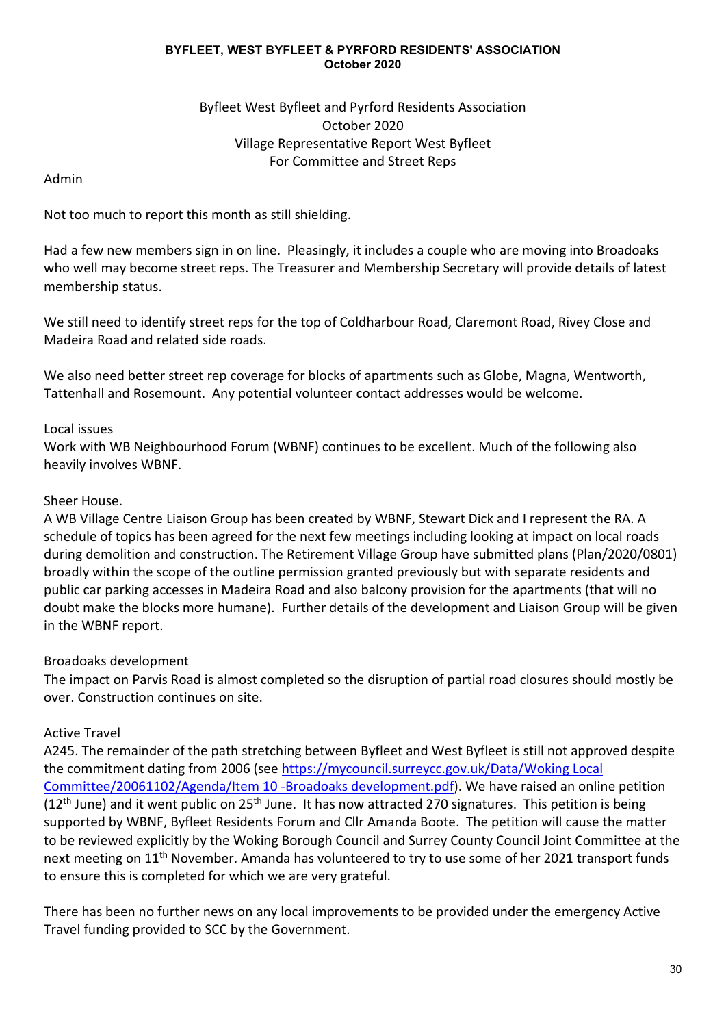# Byfleet West Byfleet and Pyrford Residents Association October 2020 Village Representative Report West Byfleet For Committee and Street Reps

# Admin

Not too much to report this month as still shielding.

Had a few new members sign in on line. Pleasingly, it includes a couple who are moving into Broadoaks who well may become street reps. The Treasurer and Membership Secretary will provide details of latest membership status.

We still need to identify street reps for the top of Coldharbour Road, Claremont Road, Rivey Close and Madeira Road and related side roads.

We also need better street rep coverage for blocks of apartments such as Globe, Magna, Wentworth, Tattenhall and Rosemount. Any potential volunteer contact addresses would be welcome.

# Local issues

Work with WB Neighbourhood Forum (WBNF) continues to be excellent. Much of the following also heavily involves WBNF.

# Sheer House.

A WB Village Centre Liaison Group has been created by WBNF, Stewart Dick and I represent the RA. A schedule of topics has been agreed for the next few meetings including looking at impact on local roads during demolition and construction. The Retirement Village Group have submitted plans (Plan/2020/0801) broadly within the scope of the outline permission granted previously but with separate residents and public car parking accesses in Madeira Road and also balcony provision for the apartments (that will no doubt make the blocks more humane). Further details of the development and Liaison Group will be given in the WBNF report.

# Broadoaks development

The impact on Parvis Road is almost completed so the disruption of partial road closures should mostly be over. Construction continues on site.

### Active Travel

A245. The remainder of the path stretching between Byfleet and West Byfleet is still not approved despite the commitment dating from 2006 (see [https://mycouncil.surreycc.gov.uk/Data/Woking Local](https://mycouncil.surreycc.gov.uk/Data/Woking%20Local%20Committee/20061102/Agenda/Item%2010%20-Broadoaks%20development.pdf)  [Committee/20061102/Agenda/Item 10 -Broadoaks development.pdf\)](https://mycouncil.surreycc.gov.uk/Data/Woking%20Local%20Committee/20061102/Agenda/Item%2010%20-Broadoaks%20development.pdf). We have raised an online petition (12<sup>th</sup> June) and it went public on 25<sup>th</sup> June. It has now attracted 270 signatures. This petition is being supported by WBNF, Byfleet Residents Forum and Cllr Amanda Boote. The petition will cause the matter to be reviewed explicitly by the Woking Borough Council and Surrey County Council Joint Committee at the next meeting on 11<sup>th</sup> November. Amanda has volunteered to try to use some of her 2021 transport funds to ensure this is completed for which we are very grateful.

There has been no further news on any local improvements to be provided under the emergency Active Travel funding provided to SCC by the Government.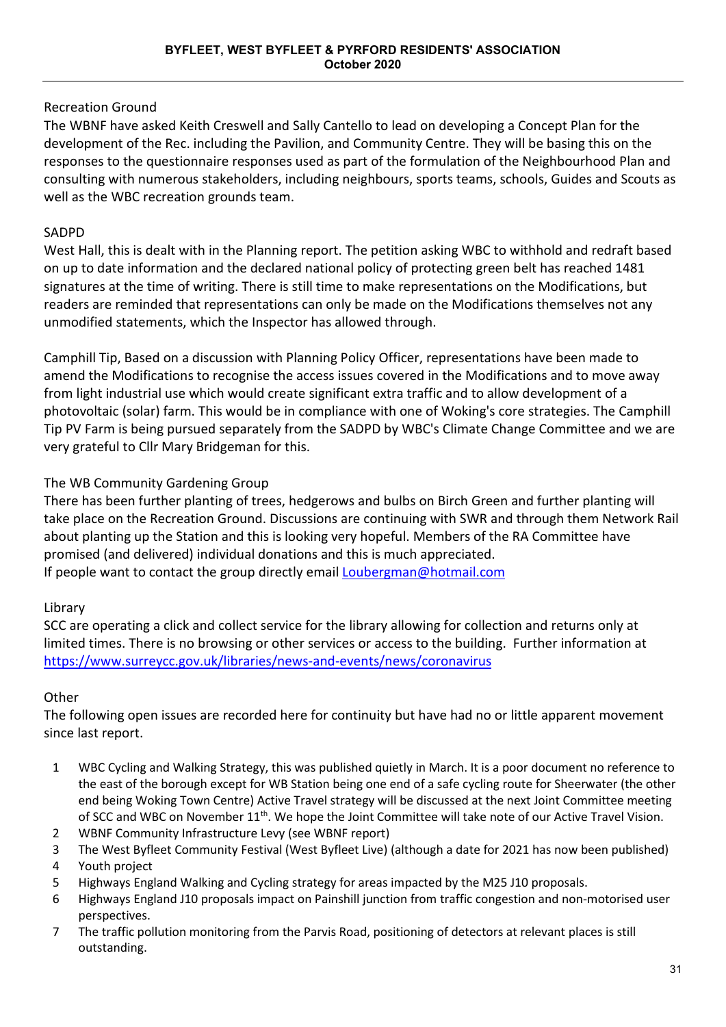# Recreation Ground

The WBNF have asked Keith Creswell and Sally Cantello to lead on developing a Concept Plan for the development of the Rec. including the Pavilion, and Community Centre. They will be basing this on the responses to the questionnaire responses used as part of the formulation of the Neighbourhood Plan and consulting with numerous stakeholders, including neighbours, sports teams, schools, Guides and Scouts as well as the WBC recreation grounds team.

# SADPD

West Hall, this is dealt with in the Planning report. The petition asking WBC to withhold and redraft based on up to date information and the declared national policy of protecting green belt has reached 1481 signatures at the time of writing. There is still time to make representations on the Modifications, but readers are reminded that representations can only be made on the Modifications themselves not any unmodified statements, which the Inspector has allowed through.

Camphill Tip, Based on a discussion with Planning Policy Officer, representations have been made to amend the Modifications to recognise the access issues covered in the Modifications and to move away from light industrial use which would create significant extra traffic and to allow development of a photovoltaic (solar) farm. This would be in compliance with one of Woking's core strategies. The Camphill Tip PV Farm is being pursued separately from the SADPD by WBC's Climate Change Committee and we are very grateful to Cllr Mary Bridgeman for this.

# The WB Community Gardening Group

There has been further planting of trees, hedgerows and bulbs on Birch Green and further planting will take place on the Recreation Ground. Discussions are continuing with SWR and through them Network Rail about planting up the Station and this is looking very hopeful. Members of the RA Committee have promised (and delivered) individual donations and this is much appreciated. If people want to contact the group directly emai[l Loubergman@hotmail.com](mailto:Loubergman@hotmail.com)

# Library

SCC are operating a click and collect service for the library allowing for collection and returns only at limited times. There is no browsing or other services or access to the building. Further information at <https://www.surreycc.gov.uk/libraries/news-and-events/news/coronavirus>

# **Other**

The following open issues are recorded here for continuity but have had no or little apparent movement since last report.

- 1 WBC Cycling and Walking Strategy, this was published quietly in March. It is a poor document no reference to the east of the borough except for WB Station being one end of a safe cycling route for Sheerwater (the other end being Woking Town Centre) Active Travel strategy will be discussed at the next Joint Committee meeting of SCC and WBC on November 11<sup>th</sup>. We hope the Joint Committee will take note of our Active Travel Vision.
- 2 WBNF Community Infrastructure Levy (see WBNF report)
- 3 The West Byfleet Community Festival (West Byfleet Live) (although a date for 2021 has now been published)
- 4 Youth project
- 5 Highways England Walking and Cycling strategy for areas impacted by the M25 J10 proposals.
- 6 Highways England J10 proposals impact on Painshill junction from traffic congestion and non-motorised user perspectives.
- 7 The traffic pollution monitoring from the Parvis Road, positioning of detectors at relevant places is still outstanding.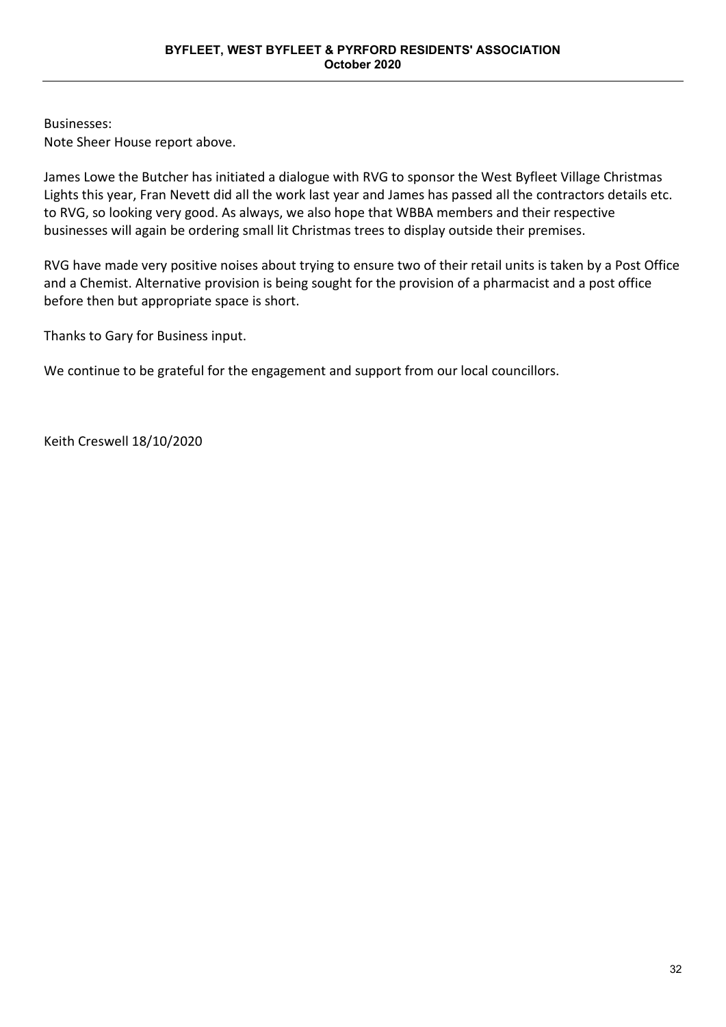Businesses: Note Sheer House report above.

James Lowe the Butcher has initiated a dialogue with RVG to sponsor the West Byfleet Village Christmas Lights this year, Fran Nevett did all the work last year and James has passed all the contractors details etc. to RVG, so looking very good. As always, we also hope that WBBA members and their respective businesses will again be ordering small lit Christmas trees to display outside their premises.

RVG have made very positive noises about trying to ensure two of their retail units is taken by a Post Office and a Chemist. Alternative provision is being sought for the provision of a pharmacist and a post office before then but appropriate space is short.

Thanks to Gary for Business input.

We continue to be grateful for the engagement and support from our local councillors.

Keith Creswell 18/10/2020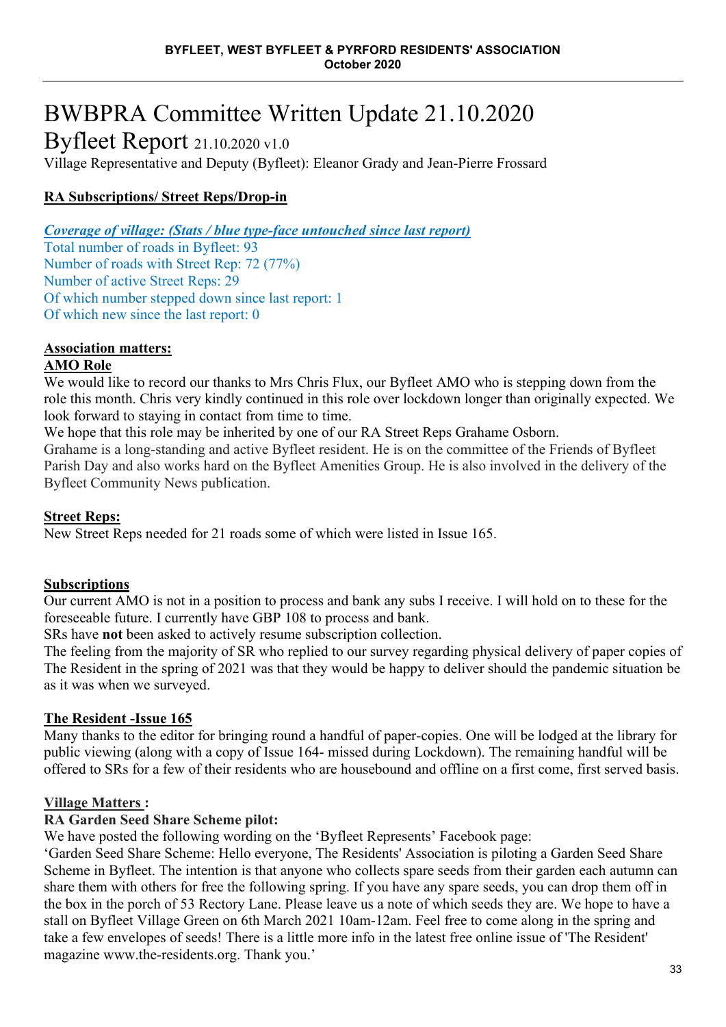# BWBPRA Committee Written Update 21.10.2020

Byfleet Report 21.10.2020 v1.0

Village Representative and Deputy (Byfleet): Eleanor Grady and Jean-Pierre Frossard

# **RA Subscriptions/ Street Reps/Drop-in**

*Coverage of village: (Stats / blue type-face untouched since last report)*

Total number of roads in Byfleet: 93 Number of roads with Street Rep: 72 (77%) Number of active Street Reps: 29 Of which number stepped down since last report: 1 Of which new since the last report: 0

# **Association matters:**

# **AMO Role**

We would like to record our thanks to Mrs Chris Flux, our Byfleet AMO who is stepping down from the role this month. Chris very kindly continued in this role over lockdown longer than originally expected. We look forward to staying in contact from time to time.

We hope that this role may be inherited by one of our RA Street Reps Grahame Osborn.

Grahame is a long-standing and active Byfleet resident. He is on the committee of the Friends of Byfleet Parish Day and also works hard on the Byfleet Amenities Group. He is also involved in the delivery of the Byfleet Community News publication.

# **Street Reps:**

New Street Reps needed for 21 roads some of which were listed in Issue 165.

# **Subscriptions**

Our current AMO is not in a position to process and bank any subs I receive. I will hold on to these for the foreseeable future. I currently have GBP 108 to process and bank.

SRs have **not** been asked to actively resume subscription collection.

The feeling from the majority of SR who replied to our survey regarding physical delivery of paper copies of The Resident in the spring of 2021 was that they would be happy to deliver should the pandemic situation be as it was when we surveyed.

# **The Resident -Issue 165**

Many thanks to the editor for bringing round a handful of paper-copies. One will be lodged at the library for public viewing (along with a copy of Issue 164- missed during Lockdown). The remaining handful will be offered to SRs for a few of their residents who are housebound and offline on a first come, first served basis.

# **Village Matters :**

# **RA Garden Seed Share Scheme pilot:**

We have posted the following wording on the 'Byfleet Represents' Facebook page:

'Garden Seed Share Scheme: Hello everyone, The Residents' Association is piloting a Garden Seed Share Scheme in Byfleet. The intention is that anyone who collects spare seeds from their garden each autumn can share them with others for free the following spring. If you have any spare seeds, you can drop them off in the box in the porch of 53 Rectory Lane. Please leave us a note of which seeds they are. We hope to have a stall on Byfleet Village Green on 6th March 2021 10am-12am. Feel free to come along in the spring and take a few envelopes of seeds! There is a little more info in the latest free online issue of 'The Resident' magazine [www.the-residents.org.](https://l.facebook.com/l.php?u=https%3A%2F%2Fwww.the-residents.org%2F%3Ffbclid%3DIwAR2Y9bXa8V3hGKkFgNzE-9--sNw4nZlFlFx8fEtFNSktVjSEDhHBEx2eRgw&h=AT0R2rODQKjrfeEICkgXLnlndwQtgFVdEpvnwykpjEhMdiKWsHr8S2W-WF2Q2xnbM3TvkcxvOOr4Zg1y3XQm-Gawjg80h-TAGDuA9U8s25KvMXDZiF0RZGWW_vni-KmW3xkX&__tn__=-UK-R&c%5b0%5d=AT1eAuyXIDmXFX_StGLvLz0IEJto1JkimNqno6s81MbSqhdeN7OjaxO-g6CNZKk1H1hvJAx3TK3Ln5-AaDu6zf09FU-dILLElM8JnjoJ6LCEtVzwHZDNqQ3GsNbC6U7zclbAJ1S-P3j-wdtUbE6vK9IuzC73kVO8-KYF8az99kvosO_vaCGlGnQ) Thank you.'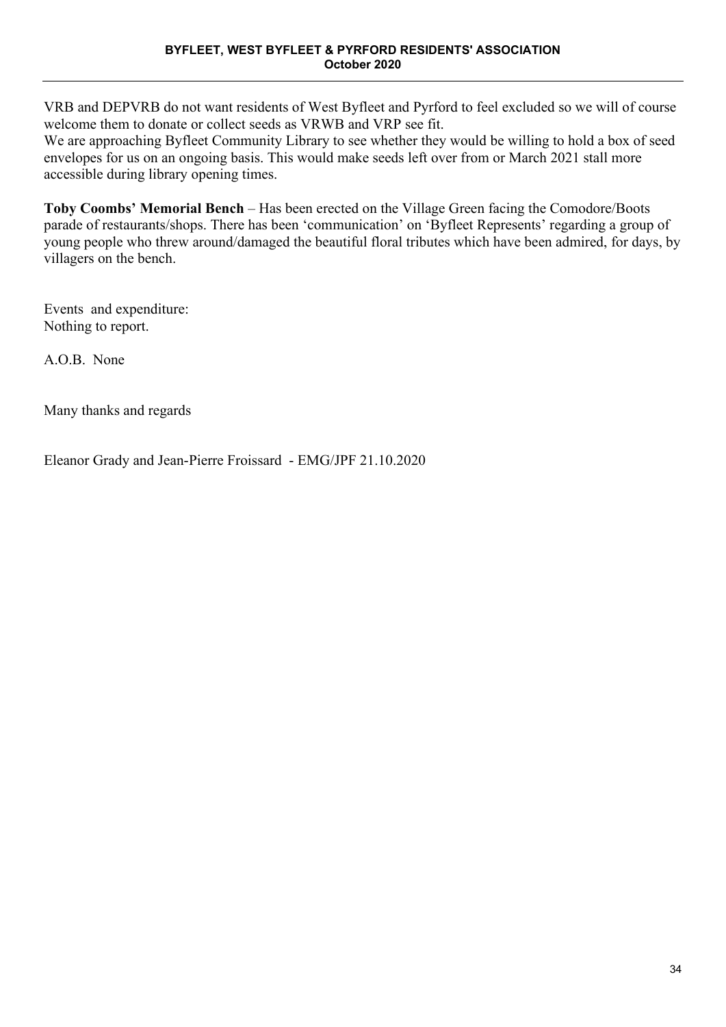VRB and DEPVRB do not want residents of West Byfleet and Pyrford to feel excluded so we will of course welcome them to donate or collect seeds as VRWB and VRP see fit.

We are approaching Byfleet Community Library to see whether they would be willing to hold a box of seed envelopes for us on an ongoing basis. This would make seeds left over from or March 2021 stall more accessible during library opening times.

**Toby Coombs' Memorial Bench** – Has been erected on the Village Green facing the Comodore/Boots parade of restaurants/shops. There has been 'communication' on 'Byfleet Represents' regarding a group of young people who threw around/damaged the beautiful floral tributes which have been admired, for days, by villagers on the bench.

Events and expenditure: Nothing to report.

A.O.B. None

Many thanks and regards

Eleanor Grady and Jean-Pierre Froissard - EMG/JPF 21.10.2020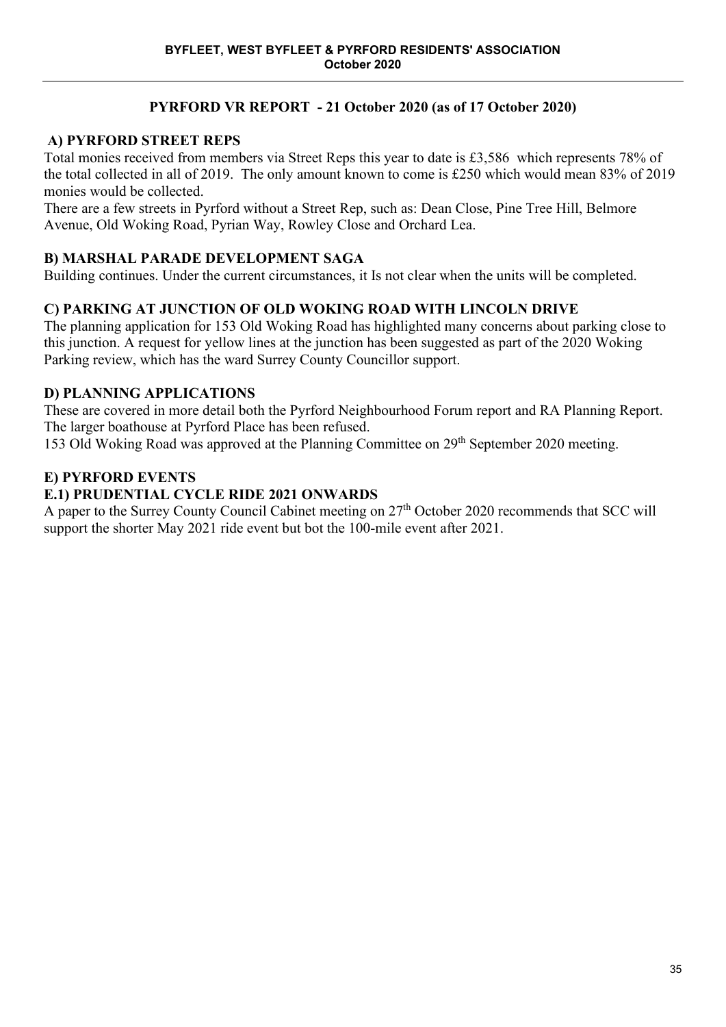# **PYRFORD VR REPORT - 21 October 2020 (as of 17 October 2020)**

# **A) PYRFORD STREET REPS**

Total monies received from members via Street Reps this year to date is £3,586 which represents 78% of the total collected in all of 2019. The only amount known to come is £250 which would mean 83% of 2019 monies would be collected.

There are a few streets in Pyrford without a Street Rep, such as: Dean Close, Pine Tree Hill, Belmore Avenue, Old Woking Road, Pyrian Way, Rowley Close and Orchard Lea.

# **B) MARSHAL PARADE DEVELOPMENT SAGA**

Building continues. Under the current circumstances, it Is not clear when the units will be completed.

# **C) PARKING AT JUNCTION OF OLD WOKING ROAD WITH LINCOLN DRIVE**

The planning application for 153 Old Woking Road has highlighted many concerns about parking close to this junction. A request for yellow lines at the junction has been suggested as part of the 2020 Woking Parking review, which has the ward Surrey County Councillor support.

# **D) PLANNING APPLICATIONS**

These are covered in more detail both the Pyrford Neighbourhood Forum report and RA Planning Report. The larger boathouse at Pyrford Place has been refused.

153 Old Woking Road was approved at the Planning Committee on 29th September 2020 meeting.

# **E) PYRFORD EVENTS**

# **E.1) PRUDENTIAL CYCLE RIDE 2021 ONWARDS**

A paper to the Surrey County Council Cabinet meeting on 27<sup>th</sup> October 2020 recommends that SCC will support the shorter May 2021 ride event but bot the 100-mile event after 2021.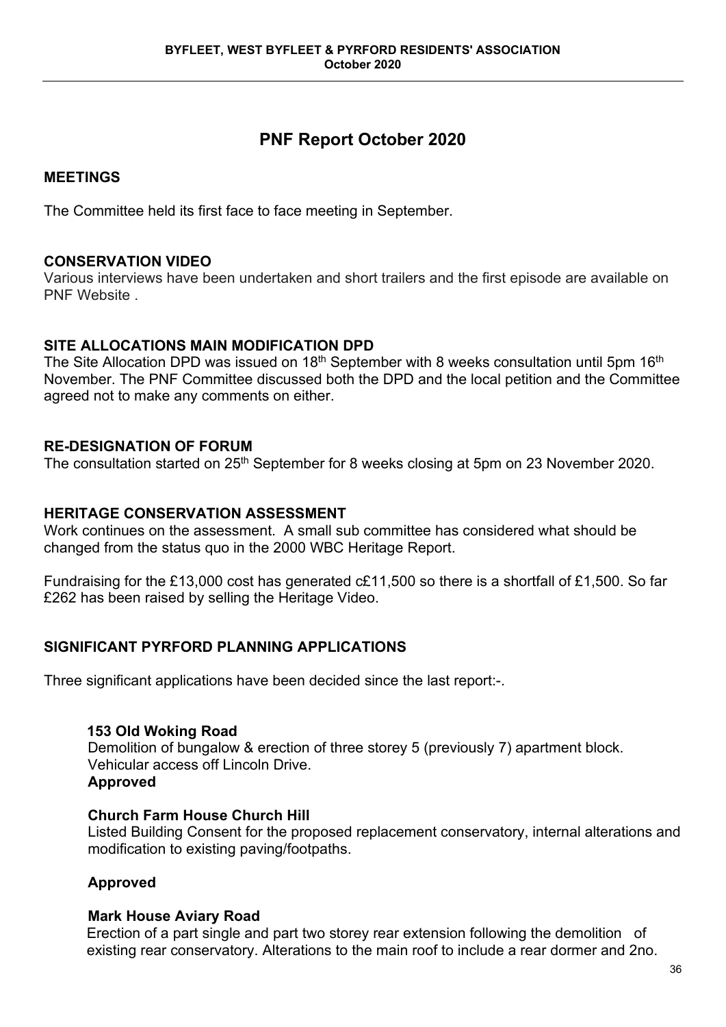# **PNF Report October 2020**

# **MEETINGS**

The Committee held its first face to face meeting in September.

# **CONSERVATION VIDEO**

Various interviews have been undertaken and short trailers and the first episode are available on PNF Website .

# **SITE ALLOCATIONS MAIN MODIFICATION DPD**

The Site Allocation DPD was issued on 18<sup>th</sup> September with 8 weeks consultation until 5pm 16<sup>th</sup> November. The PNF Committee discussed both the DPD and the local petition and the Committee agreed not to make any comments on either.

# **RE-DESIGNATION OF FORUM**

The consultation started on 25<sup>th</sup> September for 8 weeks closing at 5pm on 23 November 2020.

# **HERITAGE CONSERVATION ASSESSMENT**

Work continues on the assessment. A small sub committee has considered what should be changed from the status quo in the 2000 WBC Heritage Report.

Fundraising for the £13,000 cost has generated c£11,500 so there is a shortfall of £1,500. So far £262 has been raised by selling the Heritage Video.

# **SIGNIFICANT PYRFORD PLANNING APPLICATIONS**

Three significant applications have been decided since the last report:-.

### **153 Old Woking Road**

Demolition of bungalow & erection of three storey 5 (previously 7) apartment block. Vehicular access off Lincoln Drive. **Approved**

### **Church Farm House Church Hill**

Listed Building Consent for the proposed replacement conservatory, internal alterations and modification to existing paving/footpaths.

### **Approved**

### **Mark House Aviary Road**

Erection of a part single and part two storey rear extension following the demolition of existing rear conservatory. Alterations to the main roof to include a rear dormer and 2no.